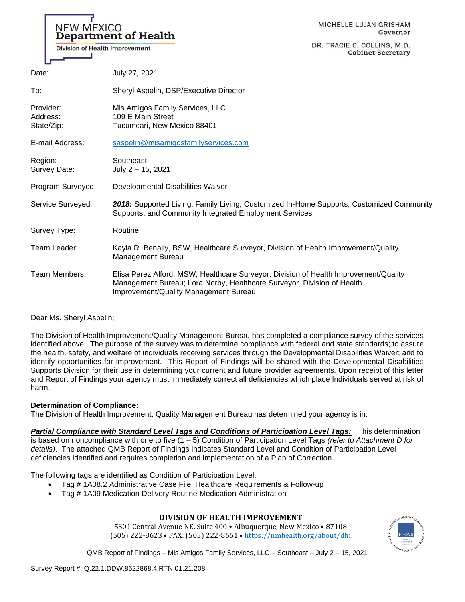# NEW MEXICO Department of Health

Division of Health Improvement

DR. TRACIE C. COLLINS, M.D. **Cabinet Secretary** 

| Date:                               | July 27, 2021                                                                                                                                                                                           |
|-------------------------------------|---------------------------------------------------------------------------------------------------------------------------------------------------------------------------------------------------------|
| To:                                 | Sheryl Aspelin, DSP/Executive Director                                                                                                                                                                  |
| Provider:<br>Address:<br>State/Zip: | Mis Amigos Family Services, LLC<br>109 E Main Street<br>Tucumcari, New Mexico 88401                                                                                                                     |
| E-mail Address:                     | saspelin@misamigosfamilyservices.com                                                                                                                                                                    |
| Region:<br>Survey Date:             | Southeast<br>July 2 - 15, 2021                                                                                                                                                                          |
| Program Surveyed:                   | Developmental Disabilities Waiver                                                                                                                                                                       |
| Service Surveyed:                   | 2018: Supported Living, Family Living, Customized In-Home Supports, Customized Community<br>Supports, and Community Integrated Employment Services                                                      |
| Survey Type:                        | Routine                                                                                                                                                                                                 |
| Team Leader:                        | Kayla R. Benally, BSW, Healthcare Surveyor, Division of Health Improvement/Quality<br>Management Bureau                                                                                                 |
| Team Members:                       | Elisa Perez Alford, MSW, Healthcare Surveyor, Division of Health Improvement/Quality<br>Management Bureau; Lora Norby, Healthcare Surveyor, Division of Health<br>Improvement/Quality Management Bureau |

### Dear Ms. Sheryl Aspelin;

The Division of Health Improvement/Quality Management Bureau has completed a compliance survey of the services identified above. The purpose of the survey was to determine compliance with federal and state standards; to assure the health, safety, and welfare of individuals receiving services through the Developmental Disabilities Waiver; and to identify opportunities for improvement. This Report of Findings will be shared with the Developmental Disabilities Supports Division for their use in determining your current and future provider agreements. Upon receipt of this letter and Report of Findings your agency must immediately correct all deficiencies which place Individuals served at risk of harm.

### **Determination of Compliance:**

The Division of Health Improvement, Quality Management Bureau has determined your agency is in:

*Partial Compliance with Standard Level Tags and Conditions of Participation Level Tags:* This determination is based on noncompliance with one to five (1 – 5) Condition of Participation Level Tags *(refer to Attachment D for details)*. The attached QMB Report of Findings indicates Standard Level and Condition of Participation Level deficiencies identified and requires completion and implementation of a Plan of Correction.

The following tags are identified as Condition of Participation Level:

- Tag # 1A08.2 Administrative Case File: Healthcare Requirements & Follow-up
- Tag # 1A09 Medication Delivery Routine Medication Administration

# **DIVISION OF HEALTH IMPROVEMENT**

5301 Central Avenue NE, Suite 400 • Albuquerque, New Mexico • 87108 (505) 222-8623 • FAX: (505) 222-8661 • <https://nmhealth.org/about/dhi>

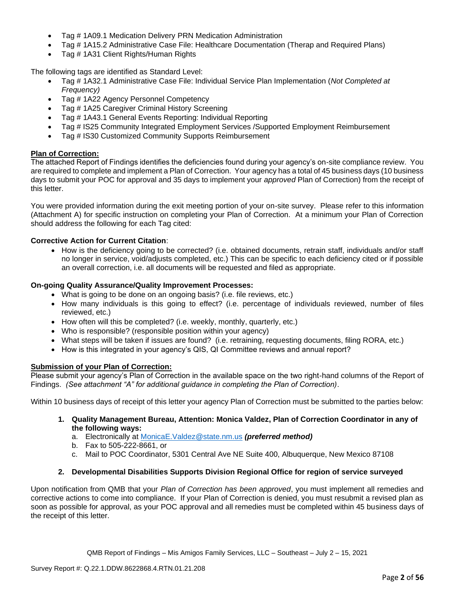- Tag # 1A09.1 Medication Delivery PRN Medication Administration
- Tag # 1A15.2 Administrative Case File: Healthcare Documentation (Therap and Required Plans)
- Tag # 1A31 Client Rights/Human Rights

The following tags are identified as Standard Level:

- Tag # 1A32.1 Administrative Case File: Individual Service Plan Implementation (*Not Completed at Frequency)*
- Tag # 1A22 Agency Personnel Competency
- Tag # 1A25 Caregiver Criminal History Screening
- Tag # 1A43.1 General Events Reporting: Individual Reporting
- Tag # IS25 Community Integrated Employment Services /Supported Employment Reimbursement
- Tag # IS30 Customized Community Supports Reimbursement

### **Plan of Correction:**

The attached Report of Findings identifies the deficiencies found during your agency's on-site compliance review. You are required to complete and implement a Plan of Correction. Your agency has a total of 45 business days (10 business days to submit your POC for approval and 35 days to implement your *approved* Plan of Correction) from the receipt of this letter.

You were provided information during the exit meeting portion of your on-site survey. Please refer to this information (Attachment A) for specific instruction on completing your Plan of Correction. At a minimum your Plan of Correction should address the following for each Tag cited:

### **Corrective Action for Current Citation**:

• How is the deficiency going to be corrected? (i.e. obtained documents, retrain staff, individuals and/or staff no longer in service, void/adjusts completed, etc.) This can be specific to each deficiency cited or if possible an overall correction, i.e. all documents will be requested and filed as appropriate.

### **On-going Quality Assurance/Quality Improvement Processes:**

- What is going to be done on an ongoing basis? (i.e. file reviews, etc.)
- How many individuals is this going to effect? (i.e. percentage of individuals reviewed, number of files reviewed, etc.)
- How often will this be completed? (i.e. weekly, monthly, quarterly, etc.)
- Who is responsible? (responsible position within your agency)
- What steps will be taken if issues are found? (i.e. retraining, requesting documents, filing RORA, etc.)
- How is this integrated in your agency's QIS, QI Committee reviews and annual report?

### **Submission of your Plan of Correction:**

Please submit your agency's Plan of Correction in the available space on the two right-hand columns of the Report of Findings. *(See attachment "A" for additional guidance in completing the Plan of Correction)*.

Within 10 business days of receipt of this letter your agency Plan of Correction must be submitted to the parties below:

**1. Quality Management Bureau, Attention: Monica Valdez, Plan of Correction Coordinator in any of the following ways:**

a. Electronically at [MonicaE.Valdez@state.nm.us](mailto:MonicaE.Valdez@state.nm.us) *(preferred method)*

- b. Fax to 505-222-8661, or
- c. Mail to POC Coordinator, 5301 Central Ave NE Suite 400, Albuquerque, New Mexico 87108

### **2. Developmental Disabilities Supports Division Regional Office for region of service surveyed**

Upon notification from QMB that your *Plan of Correction has been approved*, you must implement all remedies and corrective actions to come into compliance. If your Plan of Correction is denied, you must resubmit a revised plan as soon as possible for approval, as your POC approval and all remedies must be completed within 45 business days of the receipt of this letter.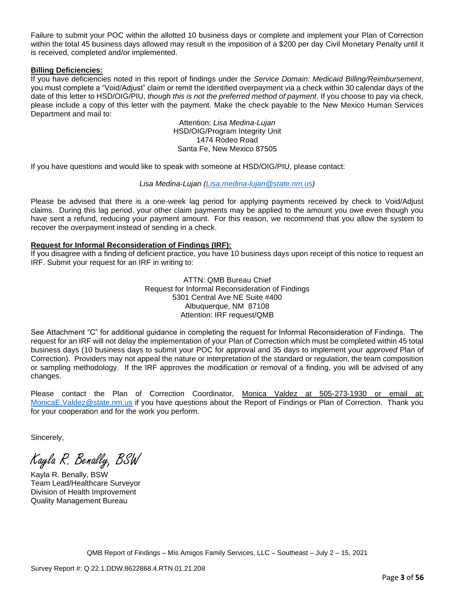Failure to submit your POC within the allotted 10 business days or complete and implement your Plan of Correction within the total 45 business days allowed may result in the imposition of a \$200 per day Civil Monetary Penalty until it is received, completed and/or implemented.

### **Billing Deficiencies:**

If you have deficiencies noted in this report of findings under the *Service Domain: Medicaid Billing/Reimbursement*, you must complete a "Void/Adjust" claim or remit the identified overpayment via a check within 30 calendar days of the date of this letter to HSD/OIG/PIU, *though this is not the preferred method of payment*. If you choose to pay via check, please include a copy of this letter with the payment. Make the check payable to the New Mexico Human Services Department and mail to:

> Attention: *Lisa Medina-Lujan* HSD/OIG/Program Integrity Unit 1474 Rodeo Road Santa Fe, New Mexico 87505

If you have questions and would like to speak with someone at HSD/OIG/PIU, please contact:

### *Lisa Medina-Lujan [\(Lisa.medina-lujan@state.nm.us\)](mailto:Lisa.medina-lujan@state.nm.us)*

Please be advised that there is a one-week lag period for applying payments received by check to Void/Adjust claims. During this lag period, your other claim payments may be applied to the amount you owe even though you have sent a refund, reducing your payment amount. For this reason, we recommend that you allow the system to recover the overpayment instead of sending in a check.

### **Request for Informal Reconsideration of Findings (IRF):**

If you disagree with a finding of deficient practice, you have 10 business days upon receipt of this notice to request an IRF. Submit your request for an IRF in writing to:

> ATTN: QMB Bureau Chief Request for Informal Reconsideration of Findings 5301 Central Ave NE Suite #400 Albuquerque, NM 87108 Attention: IRF request/QMB

See Attachment "C" for additional guidance in completing the request for Informal Reconsideration of Findings. The request for an IRF will not delay the implementation of your Plan of Correction which must be completed within 45 total business days (10 business days to submit your POC for approval and 35 days to implement your *approved* Plan of Correction). Providers may not appeal the nature or interpretation of the standard or regulation, the team composition or sampling methodology. If the IRF approves the modification or removal of a finding, you will be advised of any changes.

Please contact the Plan of Correction Coordinator, Monica Valdez at 505-273-1930 or email at: [MonicaE.Valdez@state.nm.us](mailto:MonicaE.Valdez@state.nm.us) if you have questions about the Report of Findings or Plan of Correction. Thank you for your cooperation and for the work you perform.

Sincerely,

Kayla R. Benally, BSW

Kayla R. Benally, BSW Team Lead/Healthcare Surveyor Division of Health Improvement Quality Management Bureau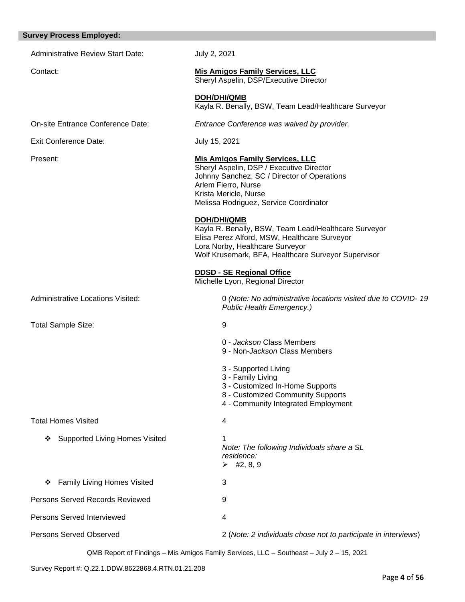| <b>Survey Process Employed:</b>            |                                                                                                                                                                                                                             |
|--------------------------------------------|-----------------------------------------------------------------------------------------------------------------------------------------------------------------------------------------------------------------------------|
| <b>Administrative Review Start Date:</b>   | July 2, 2021                                                                                                                                                                                                                |
| Contact:                                   | <b>Mis Amigos Family Services, LLC</b><br>Sheryl Aspelin, DSP/Executive Director                                                                                                                                            |
|                                            | <b>DOH/DHI/QMB</b><br>Kayla R. Benally, BSW, Team Lead/Healthcare Surveyor                                                                                                                                                  |
| On-site Entrance Conference Date:          | Entrance Conference was waived by provider.                                                                                                                                                                                 |
| <b>Exit Conference Date:</b>               | July 15, 2021                                                                                                                                                                                                               |
| Present:                                   | <b>Mis Amigos Family Services, LLC</b><br>Sheryl Aspelin, DSP / Executive Director<br>Johnny Sanchez, SC / Director of Operations<br>Arlem Fierro, Nurse<br>Krista Mericle, Nurse<br>Melissa Rodriguez, Service Coordinator |
|                                            | <b>DOH/DHI/QMB</b><br>Kayla R. Benally, BSW, Team Lead/Healthcare Surveyor<br>Elisa Perez Alford, MSW, Healthcare Surveyor<br>Lora Norby, Healthcare Surveyor<br>Wolf Krusemark, BFA, Healthcare Surveyor Supervisor        |
|                                            | <b>DDSD - SE Regional Office</b><br>Michelle Lyon, Regional Director                                                                                                                                                        |
| Administrative Locations Visited:          | 0 (Note: No administrative locations visited due to COVID-19<br>Public Health Emergency.)                                                                                                                                   |
| <b>Total Sample Size:</b>                  | 9                                                                                                                                                                                                                           |
|                                            | 0 - Jackson Class Members<br>9 - Non-Jackson Class Members                                                                                                                                                                  |
|                                            | 3 - Supported Living<br>3 - Family Living<br>3 - Customized In-Home Supports<br>8 - Customized Community Supports<br>4 - Community Integrated Employment                                                                    |
| <b>Total Homes Visited</b>                 | 4                                                                                                                                                                                                                           |
| <b>Supported Living Homes Visited</b><br>❖ | 1<br>Note: The following Individuals share a SL<br>residence:<br>$\triangleright$ #2, 8, 9                                                                                                                                  |
| <b>Family Living Homes Visited</b><br>❖    | 3                                                                                                                                                                                                                           |
| Persons Served Records Reviewed            | 9                                                                                                                                                                                                                           |
| Persons Served Interviewed                 | 4                                                                                                                                                                                                                           |
| <b>Persons Served Observed</b>             | 2 (Note: 2 individuals chose not to participate in interviews)                                                                                                                                                              |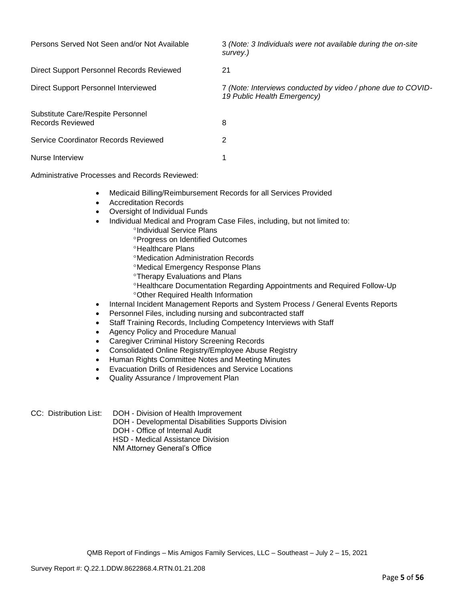| Persons Served Not Seen and/or Not Available          | 3 (Note: 3 Individuals were not available during the on-site<br>survey.)                    |
|-------------------------------------------------------|---------------------------------------------------------------------------------------------|
| Direct Support Personnel Records Reviewed             | 21                                                                                          |
| Direct Support Personnel Interviewed                  | 7 (Note: Interviews conducted by video / phone due to COVID-<br>19 Public Health Emergency) |
| Substitute Care/Respite Personnel<br>Records Reviewed | 8                                                                                           |
| Service Coordinator Records Reviewed                  | 2                                                                                           |
| Nurse Interview                                       | 1                                                                                           |

Administrative Processes and Records Reviewed:

- Medicaid Billing/Reimbursement Records for all Services Provided
- Accreditation Records
- Oversight of Individual Funds
- Individual Medical and Program Case Files, including, but not limited to:
	- <sup>o</sup>Individual Service Plans
	- **Progress on Identified Outcomes**
	- **<sup>o</sup>Healthcare Plans**
	- Medication Administration Records
	- Medical Emergency Response Plans
	- **Therapy Evaluations and Plans**
	- Healthcare Documentation Regarding Appointments and Required Follow-Up Other Required Health Information
- Internal Incident Management Reports and System Process / General Events Reports
- Personnel Files, including nursing and subcontracted staff
- Staff Training Records, Including Competency Interviews with Staff
- Agency Policy and Procedure Manual
- Caregiver Criminal History Screening Records
- Consolidated Online Registry/Employee Abuse Registry
- Human Rights Committee Notes and Meeting Minutes
- Evacuation Drills of Residences and Service Locations
- Quality Assurance / Improvement Plan
- 
- CC: Distribution List: DOH Division of Health Improvement
	- DOH Developmental Disabilities Supports Division
	- DOH Office of Internal Audit

HSD - Medical Assistance Division

NM Attorney General's Office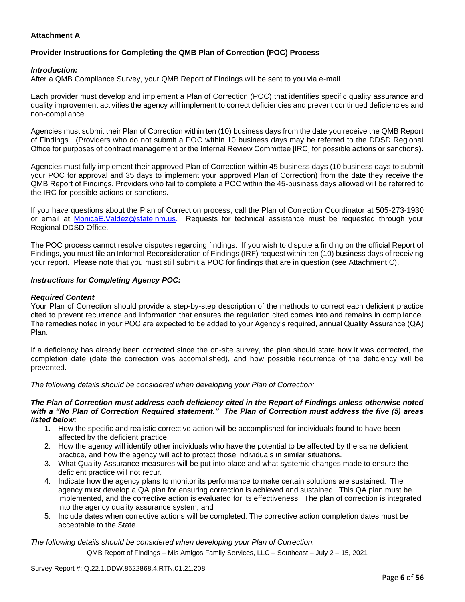### **Attachment A**

# **Provider Instructions for Completing the QMB Plan of Correction (POC) Process**

### *Introduction:*

After a QMB Compliance Survey, your QMB Report of Findings will be sent to you via e-mail.

Each provider must develop and implement a Plan of Correction (POC) that identifies specific quality assurance and quality improvement activities the agency will implement to correct deficiencies and prevent continued deficiencies and non-compliance.

Agencies must submit their Plan of Correction within ten (10) business days from the date you receive the QMB Report of Findings. (Providers who do not submit a POC within 10 business days may be referred to the DDSD Regional Office for purposes of contract management or the Internal Review Committee [IRC] for possible actions or sanctions).

Agencies must fully implement their approved Plan of Correction within 45 business days (10 business days to submit your POC for approval and 35 days to implement your approved Plan of Correction) from the date they receive the QMB Report of Findings. Providers who fail to complete a POC within the 45-business days allowed will be referred to the IRC for possible actions or sanctions.

If you have questions about the Plan of Correction process, call the Plan of Correction Coordinator at 505-273-1930 or email at [MonicaE.Valdez@state.nm.us.](mailto:MonicaE.Valdez@state.nm.us) Requests for technical assistance must be requested through your Regional DDSD Office.

The POC process cannot resolve disputes regarding findings. If you wish to dispute a finding on the official Report of Findings, you must file an Informal Reconsideration of Findings (IRF) request within ten (10) business days of receiving your report. Please note that you must still submit a POC for findings that are in question (see Attachment C).

### *Instructions for Completing Agency POC:*

### *Required Content*

Your Plan of Correction should provide a step-by-step description of the methods to correct each deficient practice cited to prevent recurrence and information that ensures the regulation cited comes into and remains in compliance. The remedies noted in your POC are expected to be added to your Agency's required, annual Quality Assurance (QA) Plan.

If a deficiency has already been corrected since the on-site survey, the plan should state how it was corrected, the completion date (date the correction was accomplished), and how possible recurrence of the deficiency will be prevented.

*The following details should be considered when developing your Plan of Correction:*

#### *The Plan of Correction must address each deficiency cited in the Report of Findings unless otherwise noted with a "No Plan of Correction Required statement." The Plan of Correction must address the five (5) areas listed below:*

- 1. How the specific and realistic corrective action will be accomplished for individuals found to have been affected by the deficient practice.
- 2. How the agency will identify other individuals who have the potential to be affected by the same deficient practice, and how the agency will act to protect those individuals in similar situations.
- 3. What Quality Assurance measures will be put into place and what systemic changes made to ensure the deficient practice will not recur.
- 4. Indicate how the agency plans to monitor its performance to make certain solutions are sustained. The agency must develop a QA plan for ensuring correction is achieved and sustained. This QA plan must be implemented, and the corrective action is evaluated for its effectiveness. The plan of correction is integrated into the agency quality assurance system; and
- 5. Include dates when corrective actions will be completed. The corrective action completion dates must be acceptable to the State.

*The following details should be considered when developing your Plan of Correction:*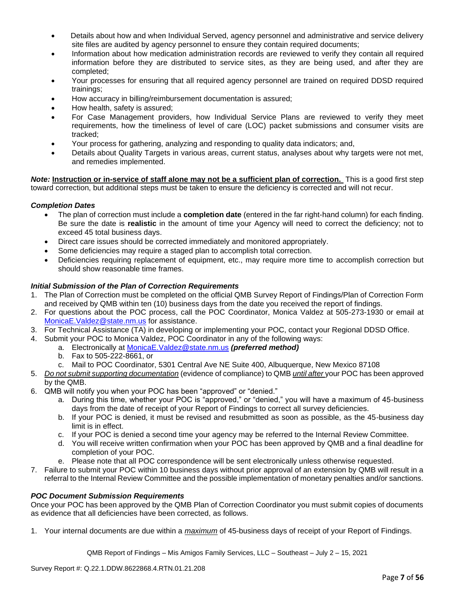- Details about how and when Individual Served, agency personnel and administrative and service delivery site files are audited by agency personnel to ensure they contain required documents;
- Information about how medication administration records are reviewed to verify they contain all required information before they are distributed to service sites, as they are being used, and after they are completed;
- Your processes for ensuring that all required agency personnel are trained on required DDSD required trainings;
- How accuracy in billing/reimbursement documentation is assured;
- How health, safety is assured;
- For Case Management providers, how Individual Service Plans are reviewed to verify they meet requirements, how the timeliness of level of care (LOC) packet submissions and consumer visits are tracked;
- Your process for gathering, analyzing and responding to quality data indicators; and,
- Details about Quality Targets in various areas, current status, analyses about why targets were not met, and remedies implemented.

*Note:* **Instruction or in-service of staff alone may not be a sufficient plan of correction.** This is a good first step toward correction, but additional steps must be taken to ensure the deficiency is corrected and will not recur.

### *Completion Dates*

- The plan of correction must include a **completion date** (entered in the far right-hand column) for each finding. Be sure the date is **realistic** in the amount of time your Agency will need to correct the deficiency; not to exceed 45 total business days.
- Direct care issues should be corrected immediately and monitored appropriately.
- Some deficiencies may require a staged plan to accomplish total correction.
- Deficiencies requiring replacement of equipment, etc., may require more time to accomplish correction but should show reasonable time frames.

### *Initial Submission of the Plan of Correction Requirements*

- 1. The Plan of Correction must be completed on the official QMB Survey Report of Findings/Plan of Correction Form and received by QMB within ten (10) business days from the date you received the report of findings.
- 2. For questions about the POC process, call the POC Coordinator, Monica Valdez at 505-273-1930 or email at [MonicaE.Valdez@state.nm.us](mailto:MonicaE.Valdez@state.nm.us) for assistance.
- 3. For Technical Assistance (TA) in developing or implementing your POC, contact your Regional DDSD Office.
- 4. Submit your POC to Monica Valdez, POC Coordinator in any of the following ways:
	- a. Electronically at [MonicaE.Valdez@state.nm.us](mailto:MonicaE.Valdez@state.nm.us) *(preferred method)*
		- b. Fax to 505-222-8661, or
		- c. Mail to POC Coordinator, 5301 Central Ave NE Suite 400, Albuquerque, New Mexico 87108
- 5. *Do not submit supporting documentation* (evidence of compliance) to QMB *until after* your POC has been approved by the QMB.
- 6. QMB will notify you when your POC has been "approved" or "denied."
	- a. During this time, whether your POC is "approved," or "denied," you will have a maximum of 45-business days from the date of receipt of your Report of Findings to correct all survey deficiencies.
	- b. If your POC is denied, it must be revised and resubmitted as soon as possible, as the 45-business day limit is in effect.
	- c. If your POC is denied a second time your agency may be referred to the Internal Review Committee.
	- d. You will receive written confirmation when your POC has been approved by QMB and a final deadline for completion of your POC.
	- e. Please note that all POC correspondence will be sent electronically unless otherwise requested.
- 7. Failure to submit your POC within 10 business days without prior approval of an extension by QMB will result in a referral to the Internal Review Committee and the possible implementation of monetary penalties and/or sanctions.

### *POC Document Submission Requirements*

Once your POC has been approved by the QMB Plan of Correction Coordinator you must submit copies of documents as evidence that all deficiencies have been corrected, as follows.

1. Your internal documents are due within a *maximum* of 45-business days of receipt of your Report of Findings.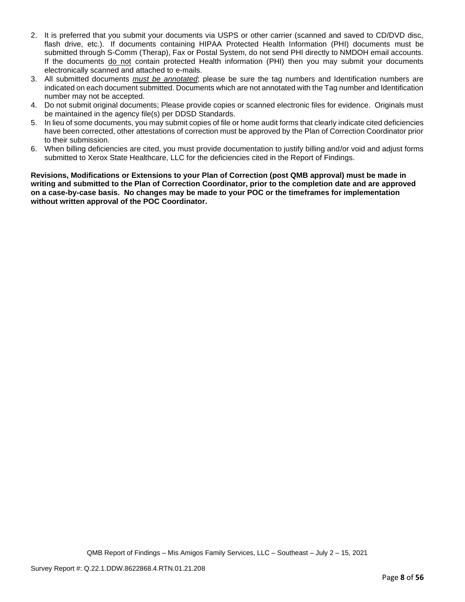- 2. It is preferred that you submit your documents via USPS or other carrier (scanned and saved to CD/DVD disc, flash drive, etc.). If documents containing HIPAA Protected Health Information (PHI) documents must be submitted through S-Comm (Therap), Fax or Postal System, do not send PHI directly to NMDOH email accounts. If the documents do not contain protected Health information (PHI) then you may submit your documents electronically scanned and attached to e-mails.
- 3. All submitted documents *must be annotated*; please be sure the tag numbers and Identification numbers are indicated on each document submitted. Documents which are not annotated with the Tag number and Identification number may not be accepted.
- 4. Do not submit original documents; Please provide copies or scanned electronic files for evidence. Originals must be maintained in the agency file(s) per DDSD Standards.
- 5. In lieu of some documents, you may submit copies of file or home audit forms that clearly indicate cited deficiencies have been corrected, other attestations of correction must be approved by the Plan of Correction Coordinator prior to their submission.
- 6. When billing deficiencies are cited, you must provide documentation to justify billing and/or void and adjust forms submitted to Xerox State Healthcare, LLC for the deficiencies cited in the Report of Findings.

**Revisions, Modifications or Extensions to your Plan of Correction (post QMB approval) must be made in writing and submitted to the Plan of Correction Coordinator, prior to the completion date and are approved on a case-by-case basis. No changes may be made to your POC or the timeframes for implementation without written approval of the POC Coordinator.**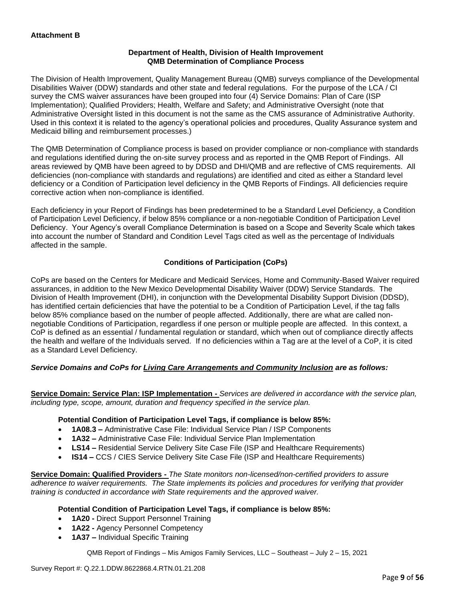### **Department of Health, Division of Health Improvement QMB Determination of Compliance Process**

The Division of Health Improvement, Quality Management Bureau (QMB) surveys compliance of the Developmental Disabilities Waiver (DDW) standards and other state and federal regulations. For the purpose of the LCA / CI survey the CMS waiver assurances have been grouped into four (4) Service Domains: Plan of Care (ISP Implementation); Qualified Providers; Health, Welfare and Safety; and Administrative Oversight (note that Administrative Oversight listed in this document is not the same as the CMS assurance of Administrative Authority. Used in this context it is related to the agency's operational policies and procedures, Quality Assurance system and Medicaid billing and reimbursement processes.)

The QMB Determination of Compliance process is based on provider compliance or non-compliance with standards and regulations identified during the on-site survey process and as reported in the QMB Report of Findings. All areas reviewed by QMB have been agreed to by DDSD and DHI/QMB and are reflective of CMS requirements. All deficiencies (non-compliance with standards and regulations) are identified and cited as either a Standard level deficiency or a Condition of Participation level deficiency in the QMB Reports of Findings. All deficiencies require corrective action when non-compliance is identified.

Each deficiency in your Report of Findings has been predetermined to be a Standard Level Deficiency, a Condition of Participation Level Deficiency, if below 85% compliance or a non-negotiable Condition of Participation Level Deficiency. Your Agency's overall Compliance Determination is based on a Scope and Severity Scale which takes into account the number of Standard and Condition Level Tags cited as well as the percentage of Individuals affected in the sample.

### **Conditions of Participation (CoPs)**

CoPs are based on the Centers for Medicare and Medicaid Services, Home and Community-Based Waiver required assurances, in addition to the New Mexico Developmental Disability Waiver (DDW) Service Standards. The Division of Health Improvement (DHI), in conjunction with the Developmental Disability Support Division (DDSD), has identified certain deficiencies that have the potential to be a Condition of Participation Level, if the tag falls below 85% compliance based on the number of people affected. Additionally, there are what are called nonnegotiable Conditions of Participation, regardless if one person or multiple people are affected. In this context, a CoP is defined as an essential / fundamental regulation or standard, which when out of compliance directly affects the health and welfare of the Individuals served. If no deficiencies within a Tag are at the level of a CoP, it is cited as a Standard Level Deficiency.

### *Service Domains and CoPs for Living Care Arrangements and Community Inclusion are as follows:*

**Service Domain: Service Plan: ISP Implementation -** *Services are delivered in accordance with the service plan, including type, scope, amount, duration and frequency specified in the service plan.*

### **Potential Condition of Participation Level Tags, if compliance is below 85%:**

- **1A08.3 –** Administrative Case File: Individual Service Plan / ISP Components
- **1A32 –** Administrative Case File: Individual Service Plan Implementation
- **LS14 –** Residential Service Delivery Site Case File (ISP and Healthcare Requirements)
- **IS14 –** CCS / CIES Service Delivery Site Case File (ISP and Healthcare Requirements)

**Service Domain: Qualified Providers -** *The State monitors non-licensed/non-certified providers to assure adherence to waiver requirements. The State implements its policies and procedures for verifying that provider training is conducted in accordance with State requirements and the approved waiver.*

### **Potential Condition of Participation Level Tags, if compliance is below 85%:**

- **1A20 -** Direct Support Personnel Training
- **1A22 -** Agency Personnel Competency
- **1A37 –** Individual Specific Training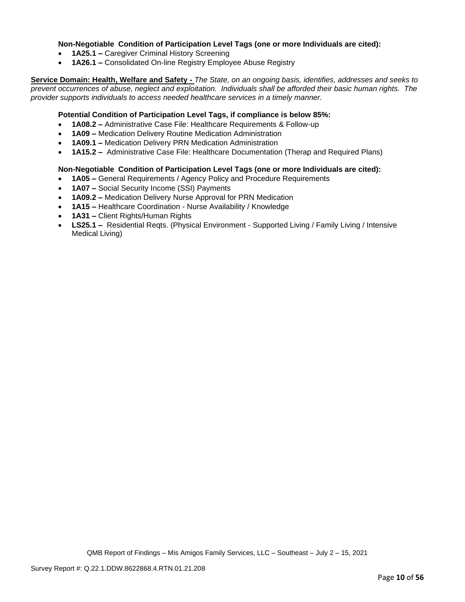### **Non-Negotiable Condition of Participation Level Tags (one or more Individuals are cited):**

- **1A25.1 –** Caregiver Criminal History Screening
- **1A26.1 –** Consolidated On-line Registry Employee Abuse Registry

**Service Domain: Health, Welfare and Safety -** *The State, on an ongoing basis, identifies, addresses and seeks to prevent occurrences of abuse, neglect and exploitation. Individuals shall be afforded their basic human rights. The provider supports individuals to access needed healthcare services in a timely manner.*

### **Potential Condition of Participation Level Tags, if compliance is below 85%:**

- **1A08.2 –** Administrative Case File: Healthcare Requirements & Follow-up
- **1A09 –** Medication Delivery Routine Medication Administration
- **1A09.1 –** Medication Delivery PRN Medication Administration
- **1A15.2 –** Administrative Case File: Healthcare Documentation (Therap and Required Plans)

### **Non-Negotiable Condition of Participation Level Tags (one or more Individuals are cited):**

- **1A05 –** General Requirements / Agency Policy and Procedure Requirements
- **1A07 –** Social Security Income (SSI) Payments
- **1A09.2 –** Medication Delivery Nurse Approval for PRN Medication
- **1A15 –** Healthcare Coordination Nurse Availability / Knowledge
- **1A31 –** Client Rights/Human Rights
- **LS25.1 –** Residential Reqts. (Physical Environment Supported Living / Family Living / Intensive Medical Living)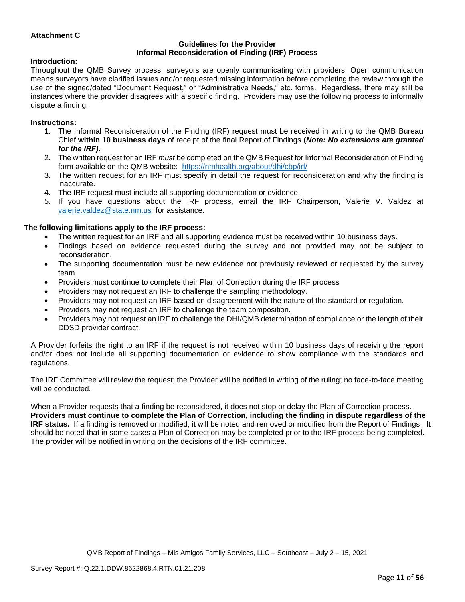### **Attachment C**

#### **Guidelines for the Provider Informal Reconsideration of Finding (IRF) Process**

#### **Introduction:**

Throughout the QMB Survey process, surveyors are openly communicating with providers. Open communication means surveyors have clarified issues and/or requested missing information before completing the review through the use of the signed/dated "Document Request," or "Administrative Needs," etc. forms. Regardless, there may still be instances where the provider disagrees with a specific finding. Providers may use the following process to informally dispute a finding.

#### **Instructions:**

- 1. The Informal Reconsideration of the Finding (IRF) request must be received in writing to the QMB Bureau Chief **within 10 business days** of receipt of the final Report of Findings **(***Note: No extensions are granted for the IRF)***.**
- 2. The written request for an IRF *must* be completed on the QMB Request for Informal Reconsideration of Finding form available on the QMB website: <https://nmhealth.org/about/dhi/cbp/irf/>
- 3. The written request for an IRF must specify in detail the request for reconsideration and why the finding is inaccurate.
- 4. The IRF request must include all supporting documentation or evidence.
- 5. If you have questions about the IRF process, email the IRF Chairperson, Valerie V. Valdez at [valerie.valdez@state.nm.us](mailto:valerie.valdez@state.nm.us) for assistance.

### **The following limitations apply to the IRF process:**

- The written request for an IRF and all supporting evidence must be received within 10 business days.
- Findings based on evidence requested during the survey and not provided may not be subject to reconsideration.
- The supporting documentation must be new evidence not previously reviewed or requested by the survey team.
- Providers must continue to complete their Plan of Correction during the IRF process
- Providers may not request an IRF to challenge the sampling methodology.
- Providers may not request an IRF based on disagreement with the nature of the standard or regulation.
- Providers may not request an IRF to challenge the team composition.
- Providers may not request an IRF to challenge the DHI/QMB determination of compliance or the length of their DDSD provider contract.

A Provider forfeits the right to an IRF if the request is not received within 10 business days of receiving the report and/or does not include all supporting documentation or evidence to show compliance with the standards and regulations.

The IRF Committee will review the request; the Provider will be notified in writing of the ruling; no face-to-face meeting will be conducted.

When a Provider requests that a finding be reconsidered, it does not stop or delay the Plan of Correction process. **Providers must continue to complete the Plan of Correction, including the finding in dispute regardless of the IRF status.** If a finding is removed or modified, it will be noted and removed or modified from the Report of Findings. It should be noted that in some cases a Plan of Correction may be completed prior to the IRF process being completed. The provider will be notified in writing on the decisions of the IRF committee.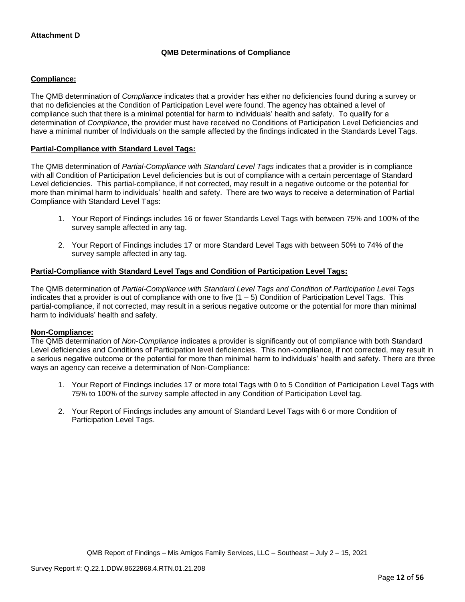### **QMB Determinations of Compliance**

### **Compliance:**

The QMB determination of *Compliance* indicates that a provider has either no deficiencies found during a survey or that no deficiencies at the Condition of Participation Level were found. The agency has obtained a level of compliance such that there is a minimal potential for harm to individuals' health and safety. To qualify for a determination of *Compliance*, the provider must have received no Conditions of Participation Level Deficiencies and have a minimal number of Individuals on the sample affected by the findings indicated in the Standards Level Tags.

### **Partial-Compliance with Standard Level Tags:**

The QMB determination of *Partial-Compliance with Standard Level Tags* indicates that a provider is in compliance with all Condition of Participation Level deficiencies but is out of compliance with a certain percentage of Standard Level deficiencies. This partial-compliance, if not corrected, may result in a negative outcome or the potential for more than minimal harm to individuals' health and safety. There are two ways to receive a determination of Partial Compliance with Standard Level Tags:

- 1. Your Report of Findings includes 16 or fewer Standards Level Tags with between 75% and 100% of the survey sample affected in any tag.
- 2. Your Report of Findings includes 17 or more Standard Level Tags with between 50% to 74% of the survey sample affected in any tag.

### **Partial-Compliance with Standard Level Tags and Condition of Participation Level Tags:**

The QMB determination of *Partial-Compliance with Standard Level Tags and Condition of Participation Level Tags*  indicates that a provider is out of compliance with one to five  $(1 - 5)$  Condition of Participation Level Tags. This partial-compliance, if not corrected, may result in a serious negative outcome or the potential for more than minimal harm to individuals' health and safety.

### **Non-Compliance:**

The QMB determination of *Non-Compliance* indicates a provider is significantly out of compliance with both Standard Level deficiencies and Conditions of Participation level deficiencies. This non-compliance, if not corrected, may result in a serious negative outcome or the potential for more than minimal harm to individuals' health and safety. There are three ways an agency can receive a determination of Non-Compliance:

- 1. Your Report of Findings includes 17 or more total Tags with 0 to 5 Condition of Participation Level Tags with 75% to 100% of the survey sample affected in any Condition of Participation Level tag.
- 2. Your Report of Findings includes any amount of Standard Level Tags with 6 or more Condition of Participation Level Tags.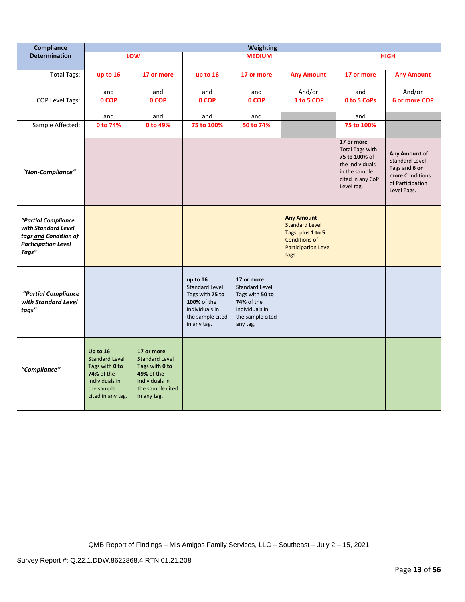| Compliance                                                                                                 | <b>Weighting</b>                                                                                                              |                                                                                                                                 |                                                                                                                          |                                                                                                                        |                                                                                                                                |                                                                                                                             |                                                                                                               |
|------------------------------------------------------------------------------------------------------------|-------------------------------------------------------------------------------------------------------------------------------|---------------------------------------------------------------------------------------------------------------------------------|--------------------------------------------------------------------------------------------------------------------------|------------------------------------------------------------------------------------------------------------------------|--------------------------------------------------------------------------------------------------------------------------------|-----------------------------------------------------------------------------------------------------------------------------|---------------------------------------------------------------------------------------------------------------|
| <b>Determination</b>                                                                                       |                                                                                                                               | LOW                                                                                                                             |                                                                                                                          | <b>MEDIUM</b>                                                                                                          |                                                                                                                                |                                                                                                                             | <b>HIGH</b>                                                                                                   |
| <b>Total Tags:</b>                                                                                         | up to 16                                                                                                                      | 17 or more                                                                                                                      | up to 16                                                                                                                 | 17 or more                                                                                                             | <b>Any Amount</b>                                                                                                              | 17 or more                                                                                                                  | <b>Any Amount</b>                                                                                             |
|                                                                                                            | and                                                                                                                           | and                                                                                                                             | and                                                                                                                      | and                                                                                                                    | And/or                                                                                                                         | and                                                                                                                         | And/or                                                                                                        |
| <b>COP Level Tags:</b>                                                                                     | 0 COP                                                                                                                         | 0 COP                                                                                                                           | 0 COP                                                                                                                    | 0 COP                                                                                                                  | 1 to 5 COP                                                                                                                     | 0 to 5 CoPs                                                                                                                 | 6 or more COP                                                                                                 |
|                                                                                                            | and                                                                                                                           | and                                                                                                                             | and                                                                                                                      | and                                                                                                                    |                                                                                                                                | and                                                                                                                         |                                                                                                               |
| Sample Affected:                                                                                           | 0 to 74%                                                                                                                      | 0 to 49%                                                                                                                        | 75 to 100%                                                                                                               | 50 to 74%                                                                                                              |                                                                                                                                | 75 to 100%                                                                                                                  |                                                                                                               |
| "Non-Compliance"                                                                                           |                                                                                                                               |                                                                                                                                 |                                                                                                                          |                                                                                                                        |                                                                                                                                | 17 or more<br><b>Total Tags with</b><br>75 to 100% of<br>the Individuals<br>in the sample<br>cited in any CoP<br>Level tag. | Any Amount of<br><b>Standard Level</b><br>Tags and 6 or<br>more Conditions<br>of Participation<br>Level Tags. |
| "Partial Compliance<br>with Standard Level<br>tags and Condition of<br><b>Participation Level</b><br>Tags" |                                                                                                                               |                                                                                                                                 |                                                                                                                          |                                                                                                                        | <b>Any Amount</b><br><b>Standard Level</b><br>Tags, plus 1 to 5<br><b>Conditions of</b><br><b>Participation Level</b><br>tags. |                                                                                                                             |                                                                                                               |
| "Partial Compliance<br>with Standard Level<br>tags"                                                        |                                                                                                                               |                                                                                                                                 | up to 16<br><b>Standard Level</b><br>Tags with 75 to<br>100% of the<br>individuals in<br>the sample cited<br>in any tag. | 17 or more<br><b>Standard Level</b><br>Tags with 50 to<br>74% of the<br>individuals in<br>the sample cited<br>any tag. |                                                                                                                                |                                                                                                                             |                                                                                                               |
| "Compliance"                                                                                               | Up to 16<br><b>Standard Level</b><br>Tags with 0 to<br><b>74% of the</b><br>individuals in<br>the sample<br>cited in any tag. | 17 or more<br><b>Standard Level</b><br>Tags with 0 to<br><b>49% of the</b><br>individuals in<br>the sample cited<br>in any tag. |                                                                                                                          |                                                                                                                        |                                                                                                                                |                                                                                                                             |                                                                                                               |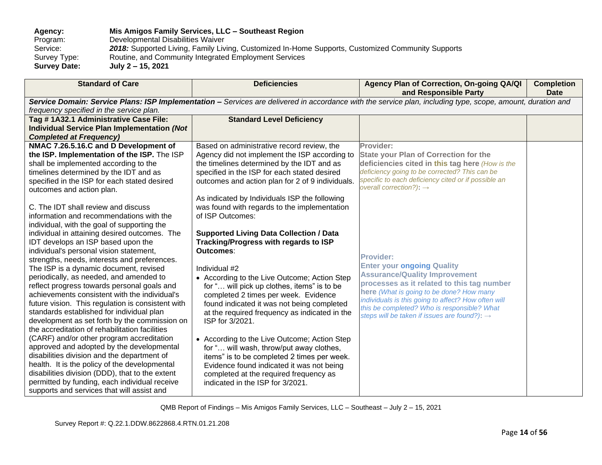**Agency: Mis Amigos Family Services, LLC – Southeast Region** Program: Developmental Disabilities Waiver<br>Service: 2018: Supported Living, Family Liv Service: **2018:** Supported Living, Family Living, Customized In-Home Supports, Customized Community Supports<br>Survey Type: Routine, and Community Integrated Employment Services Survey Type: Routine, and Community Integrated Employment Services<br>Survey Date: July 2 – 15, 2021 **Survey Date: July 2 – 15, 2021**

| <b>Standard of Care</b>                                                                                                                                                                                                                                                                                                                                                                                                                                                                                                                                                                                                                                                                                                                                                                                                                                                                                                                                                                                                                                | <b>Deficiencies</b>                                                                                                                                                                                                                                                                                                                                                                                                                                                                                                                                                                                                                                                                                                                                                       | Agency Plan of Correction, On-going QA/QI<br>and Responsible Party                                                                                                                                                                                                                                                                                        | <b>Completion</b><br><b>Date</b> |
|--------------------------------------------------------------------------------------------------------------------------------------------------------------------------------------------------------------------------------------------------------------------------------------------------------------------------------------------------------------------------------------------------------------------------------------------------------------------------------------------------------------------------------------------------------------------------------------------------------------------------------------------------------------------------------------------------------------------------------------------------------------------------------------------------------------------------------------------------------------------------------------------------------------------------------------------------------------------------------------------------------------------------------------------------------|---------------------------------------------------------------------------------------------------------------------------------------------------------------------------------------------------------------------------------------------------------------------------------------------------------------------------------------------------------------------------------------------------------------------------------------------------------------------------------------------------------------------------------------------------------------------------------------------------------------------------------------------------------------------------------------------------------------------------------------------------------------------------|-----------------------------------------------------------------------------------------------------------------------------------------------------------------------------------------------------------------------------------------------------------------------------------------------------------------------------------------------------------|----------------------------------|
| frequency specified in the service plan.                                                                                                                                                                                                                                                                                                                                                                                                                                                                                                                                                                                                                                                                                                                                                                                                                                                                                                                                                                                                               |                                                                                                                                                                                                                                                                                                                                                                                                                                                                                                                                                                                                                                                                                                                                                                           | Service Domain: Service Plans: ISP Implementation - Services are delivered in accordance with the service plan, including type, scope, amount, duration and                                                                                                                                                                                               |                                  |
| Tag #1A32.1 Administrative Case File:<br><b>Individual Service Plan Implementation (Not</b><br><b>Completed at Frequency)</b>                                                                                                                                                                                                                                                                                                                                                                                                                                                                                                                                                                                                                                                                                                                                                                                                                                                                                                                          | <b>Standard Level Deficiency</b>                                                                                                                                                                                                                                                                                                                                                                                                                                                                                                                                                                                                                                                                                                                                          |                                                                                                                                                                                                                                                                                                                                                           |                                  |
| NMAC 7.26.5.16.C and D Development of<br>the ISP. Implementation of the ISP. The ISP<br>shall be implemented according to the<br>timelines determined by the IDT and as<br>specified in the ISP for each stated desired<br>outcomes and action plan.                                                                                                                                                                                                                                                                                                                                                                                                                                                                                                                                                                                                                                                                                                                                                                                                   | Based on administrative record review, the<br>Agency did not implement the ISP according to<br>the timelines determined by the IDT and as<br>specified in the ISP for each stated desired<br>outcomes and action plan for 2 of 9 individuals.                                                                                                                                                                                                                                                                                                                                                                                                                                                                                                                             | Provider:<br><b>State your Plan of Correction for the</b><br>deficiencies cited in this tag here (How is the<br>deficiency going to be corrected? This can be<br>specific to each deficiency cited or if possible an<br>overall correction?): $\rightarrow$                                                                                               |                                  |
| C. The IDT shall review and discuss<br>information and recommendations with the<br>individual, with the goal of supporting the<br>individual in attaining desired outcomes. The<br>IDT develops an ISP based upon the<br>individual's personal vision statement,<br>strengths, needs, interests and preferences.<br>The ISP is a dynamic document, revised<br>periodically, as needed, and amended to<br>reflect progress towards personal goals and<br>achievements consistent with the individual's<br>future vision. This regulation is consistent with<br>standards established for individual plan<br>development as set forth by the commission on<br>the accreditation of rehabilitation facilities<br>(CARF) and/or other program accreditation<br>approved and adopted by the developmental<br>disabilities division and the department of<br>health. It is the policy of the developmental<br>disabilities division (DDD), that to the extent<br>permitted by funding, each individual receive<br>supports and services that will assist and | As indicated by Individuals ISP the following<br>was found with regards to the implementation<br>of ISP Outcomes:<br><b>Supported Living Data Collection / Data</b><br>Tracking/Progress with regards to ISP<br>Outcomes:<br>Individual #2<br>• According to the Live Outcome; Action Step<br>for " will pick up clothes, items" is to be<br>completed 2 times per week. Evidence<br>found indicated it was not being completed<br>at the required frequency as indicated in the<br>ISP for 3/2021.<br>• According to the Live Outcome; Action Step<br>for " will wash, throw/put away clothes,<br>items" is to be completed 2 times per week.<br>Evidence found indicated it was not being<br>completed at the required frequency as<br>indicated in the ISP for 3/2021. | <b>Provider:</b><br><b>Enter your ongoing Quality</b><br><b>Assurance/Quality Improvement</b><br>processes as it related to this tag number<br>here (What is going to be done? How many<br>individuals is this going to affect? How often will<br>this be completed? Who is responsible? What<br>steps will be taken if issues are found?): $\rightarrow$ |                                  |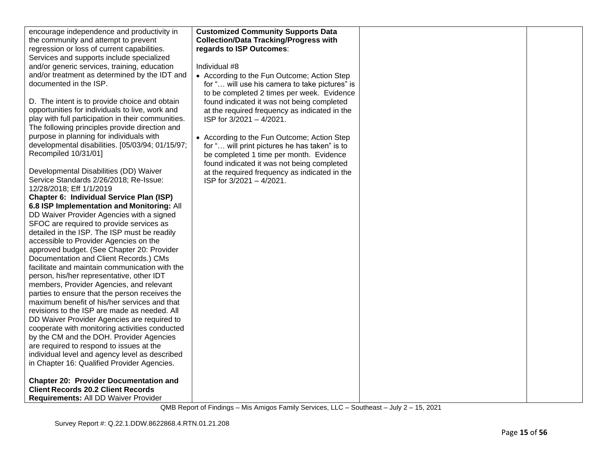| encourage independence and productivity in         | <b>Customized Community Supports Data</b>      |  |
|----------------------------------------------------|------------------------------------------------|--|
| the community and attempt to prevent               | <b>Collection/Data Tracking/Progress with</b>  |  |
| regression or loss of current capabilities.        | regards to ISP Outcomes:                       |  |
| Services and supports include specialized          |                                                |  |
| and/or generic services, training, education       | Individual #8                                  |  |
| and/or treatment as determined by the IDT and      | • According to the Fun Outcome; Action Step    |  |
| documented in the ISP.                             | for " will use his camera to take pictures" is |  |
|                                                    | to be completed 2 times per week. Evidence     |  |
|                                                    |                                                |  |
| D. The intent is to provide choice and obtain      | found indicated it was not being completed     |  |
| opportunities for individuals to live, work and    | at the required frequency as indicated in the  |  |
| play with full participation in their communities. | ISP for 3/2021 - 4/2021.                       |  |
| The following principles provide direction and     |                                                |  |
| purpose in planning for individuals with           | • According to the Fun Outcome; Action Step    |  |
| developmental disabilities. [05/03/94; 01/15/97;   | for " will print pictures he has taken" is to  |  |
| Recompiled 10/31/01]                               | be completed 1 time per month. Evidence        |  |
|                                                    | found indicated it was not being completed     |  |
| Developmental Disabilities (DD) Waiver             | at the required frequency as indicated in the  |  |
| Service Standards 2/26/2018; Re-Issue:             | ISP for 3/2021 - 4/2021.                       |  |
| 12/28/2018; Eff 1/1/2019                           |                                                |  |
| Chapter 6: Individual Service Plan (ISP)           |                                                |  |
| 6.8 ISP Implementation and Monitoring: All         |                                                |  |
| DD Waiver Provider Agencies with a signed          |                                                |  |
| SFOC are required to provide services as           |                                                |  |
| detailed in the ISP. The ISP must be readily       |                                                |  |
| accessible to Provider Agencies on the             |                                                |  |
| approved budget. (See Chapter 20: Provider         |                                                |  |
| Documentation and Client Records.) CMs             |                                                |  |
| facilitate and maintain communication with the     |                                                |  |
|                                                    |                                                |  |
| person, his/her representative, other IDT          |                                                |  |
| members, Provider Agencies, and relevant           |                                                |  |
| parties to ensure that the person receives the     |                                                |  |
| maximum benefit of his/her services and that       |                                                |  |
| revisions to the ISP are made as needed. All       |                                                |  |
| DD Waiver Provider Agencies are required to        |                                                |  |
| cooperate with monitoring activities conducted     |                                                |  |
| by the CM and the DOH. Provider Agencies           |                                                |  |
| are required to respond to issues at the           |                                                |  |
| individual level and agency level as described     |                                                |  |
| in Chapter 16: Qualified Provider Agencies.        |                                                |  |
| <b>Chapter 20: Provider Documentation and</b>      |                                                |  |
| <b>Client Records 20.2 Client Records</b>          |                                                |  |
| Requirements: All DD Waiver Provider               |                                                |  |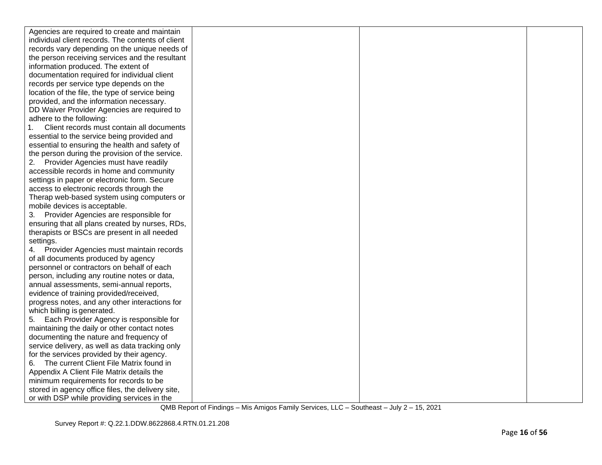| Agencies are required to create and maintain                                                |  |  |
|---------------------------------------------------------------------------------------------|--|--|
| individual client records. The contents of client                                           |  |  |
| records vary depending on the unique needs of                                               |  |  |
| the person receiving services and the resultant                                             |  |  |
| information produced. The extent of                                                         |  |  |
| documentation required for individual client                                                |  |  |
| records per service type depends on the                                                     |  |  |
| location of the file, the type of service being                                             |  |  |
| provided, and the information necessary.                                                    |  |  |
| DD Waiver Provider Agencies are required to                                                 |  |  |
| adhere to the following:                                                                    |  |  |
| Client records must contain all documents                                                   |  |  |
| essential to the service being provided and                                                 |  |  |
| essential to ensuring the health and safety of                                              |  |  |
| the person during the provision of the service.                                             |  |  |
| 2. Provider Agencies must have readily                                                      |  |  |
| accessible records in home and community                                                    |  |  |
| settings in paper or electronic form. Secure                                                |  |  |
| access to electronic records through the                                                    |  |  |
| Therap web-based system using computers or                                                  |  |  |
| mobile devices is acceptable.                                                               |  |  |
| 3. Provider Agencies are responsible for                                                    |  |  |
| ensuring that all plans created by nurses, RDs,                                             |  |  |
| therapists or BSCs are present in all needed                                                |  |  |
| settings.                                                                                   |  |  |
| 4. Provider Agencies must maintain records                                                  |  |  |
| of all documents produced by agency                                                         |  |  |
| personnel or contractors on behalf of each                                                  |  |  |
| person, including any routine notes or data,                                                |  |  |
| annual assessments, semi-annual reports,                                                    |  |  |
| evidence of training provided/received,                                                     |  |  |
| progress notes, and any other interactions for                                              |  |  |
| which billing is generated.                                                                 |  |  |
| Each Provider Agency is responsible for<br>5.                                               |  |  |
| maintaining the daily or other contact notes                                                |  |  |
| documenting the nature and frequency of                                                     |  |  |
| service delivery, as well as data tracking only                                             |  |  |
| for the services provided by their agency.<br>The current Client File Matrix found in<br>6. |  |  |
| Appendix A Client File Matrix details the                                                   |  |  |
| minimum requirements for records to be                                                      |  |  |
| stored in agency office files, the delivery site,                                           |  |  |
| or with DSP while providing services in the                                                 |  |  |
|                                                                                             |  |  |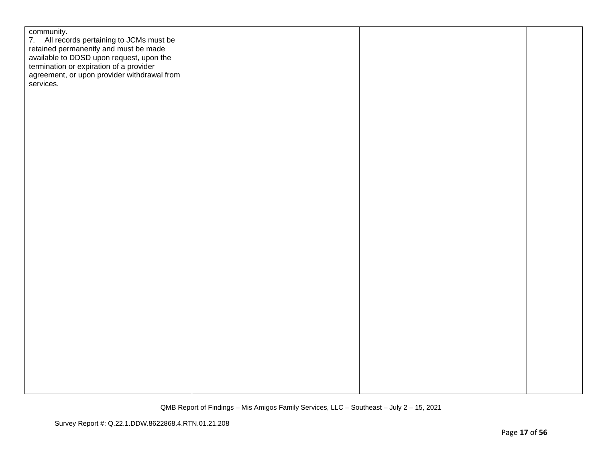| community.<br>7. All records pertaining to JCMs must be<br>retained permanently and must be made<br>available to DDSD upon request, upon the<br>termination or expiration of a provider<br>agreement, or upon provider withdrawal from<br>services. |  |  |
|-----------------------------------------------------------------------------------------------------------------------------------------------------------------------------------------------------------------------------------------------------|--|--|
|                                                                                                                                                                                                                                                     |  |  |
|                                                                                                                                                                                                                                                     |  |  |
|                                                                                                                                                                                                                                                     |  |  |
|                                                                                                                                                                                                                                                     |  |  |
|                                                                                                                                                                                                                                                     |  |  |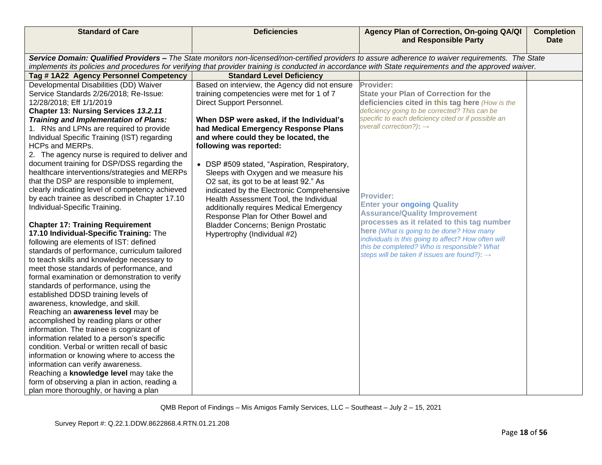| <b>Standard of Care</b>                                                                 | <b>Deficiencies</b>                                                          | Agency Plan of Correction, On-going QA/QI<br>and Responsible Party                                                                                      | <b>Completion</b><br><b>Date</b> |
|-----------------------------------------------------------------------------------------|------------------------------------------------------------------------------|---------------------------------------------------------------------------------------------------------------------------------------------------------|----------------------------------|
|                                                                                         |                                                                              | Service Domain: Qualified Providers - The State monitors non-licensed/non-certified providers to assure adherence to waiver requirements. The State     |                                  |
|                                                                                         |                                                                              | implements its policies and procedures for verifying that provider training is conducted in accordance with State requirements and the approved waiver. |                                  |
| Tag #1A22 Agency Personnel Competency                                                   | <b>Standard Level Deficiency</b>                                             |                                                                                                                                                         |                                  |
| Developmental Disabilities (DD) Waiver                                                  | Based on interview, the Agency did not ensure                                | Provider:                                                                                                                                               |                                  |
| Service Standards 2/26/2018; Re-Issue:                                                  | training competencies were met for 1 of 7                                    | <b>State your Plan of Correction for the</b>                                                                                                            |                                  |
| 12/28/2018; Eff 1/1/2019                                                                | Direct Support Personnel.                                                    | deficiencies cited in this tag here (How is the                                                                                                         |                                  |
| Chapter 13: Nursing Services 13.2.11                                                    |                                                                              | deficiency going to be corrected? This can be<br>specific to each deficiency cited or if possible an                                                    |                                  |
| <b>Training and Implementation of Plans:</b>                                            | When DSP were asked, if the Individual's                                     | overall correction?): $\rightarrow$                                                                                                                     |                                  |
| 1. RNs and LPNs are required to provide<br>Individual Specific Training (IST) regarding | had Medical Emergency Response Plans<br>and where could they be located, the |                                                                                                                                                         |                                  |
| HCPs and MERPs.                                                                         | following was reported:                                                      |                                                                                                                                                         |                                  |
| 2. The agency nurse is required to deliver and                                          |                                                                              |                                                                                                                                                         |                                  |
| document training for DSP/DSS regarding the                                             | • DSP #509 stated, "Aspiration, Respiratory,                                 |                                                                                                                                                         |                                  |
| healthcare interventions/strategies and MERPs                                           | Sleeps with Oxygen and we measure his                                        |                                                                                                                                                         |                                  |
| that the DSP are responsible to implement,                                              | O2 sat, its got to be at least 92." As                                       |                                                                                                                                                         |                                  |
| clearly indicating level of competency achieved                                         | indicated by the Electronic Comprehensive                                    | <b>Provider:</b>                                                                                                                                        |                                  |
| by each trainee as described in Chapter 17.10                                           | Health Assessment Tool, the Individual                                       | <b>Enter your ongoing Quality</b>                                                                                                                       |                                  |
| Individual-Specific Training.                                                           | additionally requires Medical Emergency<br>Response Plan for Other Bowel and | <b>Assurance/Quality Improvement</b>                                                                                                                    |                                  |
| <b>Chapter 17: Training Requirement</b>                                                 | <b>Bladder Concerns; Benign Prostatic</b>                                    | processes as it related to this tag number                                                                                                              |                                  |
| 17.10 Individual-Specific Training: The                                                 | Hypertrophy (Individual #2)                                                  | here (What is going to be done? How many                                                                                                                |                                  |
| following are elements of IST: defined                                                  |                                                                              | individuals is this going to affect? How often will                                                                                                     |                                  |
| standards of performance, curriculum tailored                                           |                                                                              | this be completed? Who is responsible? What<br>steps will be taken if issues are found?): →                                                             |                                  |
| to teach skills and knowledge necessary to                                              |                                                                              |                                                                                                                                                         |                                  |
| meet those standards of performance, and                                                |                                                                              |                                                                                                                                                         |                                  |
| formal examination or demonstration to verify                                           |                                                                              |                                                                                                                                                         |                                  |
| standards of performance, using the                                                     |                                                                              |                                                                                                                                                         |                                  |
| established DDSD training levels of<br>awareness, knowledge, and skill.                 |                                                                              |                                                                                                                                                         |                                  |
| Reaching an awareness level may be                                                      |                                                                              |                                                                                                                                                         |                                  |
| accomplished by reading plans or other                                                  |                                                                              |                                                                                                                                                         |                                  |
| information. The trainee is cognizant of                                                |                                                                              |                                                                                                                                                         |                                  |
| information related to a person's specific                                              |                                                                              |                                                                                                                                                         |                                  |
| condition. Verbal or written recall of basic                                            |                                                                              |                                                                                                                                                         |                                  |
| information or knowing where to access the                                              |                                                                              |                                                                                                                                                         |                                  |
| information can verify awareness.                                                       |                                                                              |                                                                                                                                                         |                                  |
| Reaching a knowledge level may take the                                                 |                                                                              |                                                                                                                                                         |                                  |
| form of observing a plan in action, reading a                                           |                                                                              |                                                                                                                                                         |                                  |
| plan more thoroughly, or having a plan                                                  |                                                                              |                                                                                                                                                         |                                  |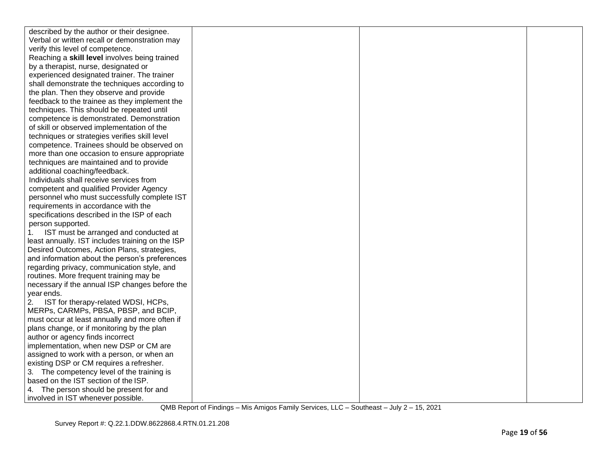| described by the author or their designee.       |  |  |
|--------------------------------------------------|--|--|
| Verbal or written recall or demonstration may    |  |  |
| verify this level of competence.                 |  |  |
| Reaching a skill level involves being trained    |  |  |
| by a therapist, nurse, designated or             |  |  |
| experienced designated trainer. The trainer      |  |  |
| shall demonstrate the techniques according to    |  |  |
| the plan. Then they observe and provide          |  |  |
| feedback to the trainee as they implement the    |  |  |
| techniques. This should be repeated until        |  |  |
| competence is demonstrated. Demonstration        |  |  |
| of skill or observed implementation of the       |  |  |
| techniques or strategies verifies skill level    |  |  |
| competence. Trainees should be observed on       |  |  |
| more than one occasion to ensure appropriate     |  |  |
| techniques are maintained and to provide         |  |  |
| additional coaching/feedback.                    |  |  |
| Individuals shall receive services from          |  |  |
| competent and qualified Provider Agency          |  |  |
| personnel who must successfully complete IST     |  |  |
| requirements in accordance with the              |  |  |
| specifications described in the ISP of each      |  |  |
| person supported.                                |  |  |
| IST must be arranged and conducted at<br>1.      |  |  |
| least annually. IST includes training on the ISP |  |  |
| Desired Outcomes, Action Plans, strategies,      |  |  |
| and information about the person's preferences   |  |  |
| regarding privacy, communication style, and      |  |  |
| routines. More frequent training may be          |  |  |
| necessary if the annual ISP changes before the   |  |  |
| year ends.                                       |  |  |
| IST for therapy-related WDSI, HCPs,<br>2.        |  |  |
| MERPs, CARMPs, PBSA, PBSP, and BCIP,             |  |  |
| must occur at least annually and more often if   |  |  |
| plans change, or if monitoring by the plan       |  |  |
| author or agency finds incorrect                 |  |  |
| implementation, when new DSP or CM are           |  |  |
| assigned to work with a person, or when an       |  |  |
| existing DSP or CM requires a refresher.         |  |  |
| 3. The competency level of the training is       |  |  |
| based on the IST section of the ISP.             |  |  |
| 4. The person should be present for and          |  |  |
| involved in IST whenever possible.               |  |  |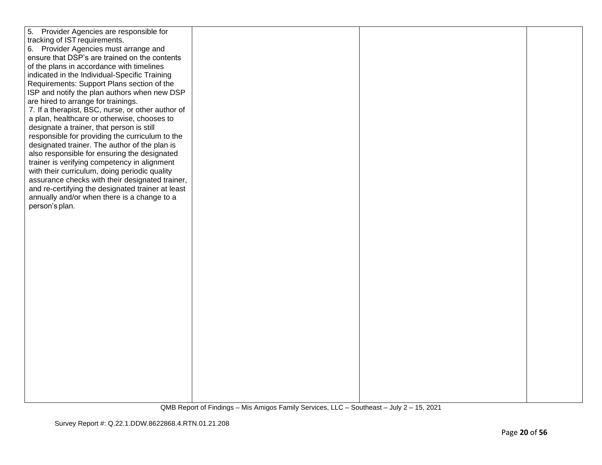| 5. Provider Agencies are responsible for          |  |  |
|---------------------------------------------------|--|--|
| tracking of IST requirements.                     |  |  |
| 6. Provider Agencies must arrange and             |  |  |
| ensure that DSP's are trained on the contents     |  |  |
|                                                   |  |  |
| of the plans in accordance with timelines         |  |  |
| indicated in the Individual-Specific Training     |  |  |
| Requirements: Support Plans section of the        |  |  |
| ISP and notify the plan authors when new DSP      |  |  |
| are hired to arrange for trainings.               |  |  |
| 7. If a therapist, BSC, nurse, or other author of |  |  |
| a plan, healthcare or otherwise, chooses to       |  |  |
| designate a trainer, that person is still         |  |  |
| responsible for providing the curriculum to the   |  |  |
| designated trainer. The author of the plan is     |  |  |
| also responsible for ensuring the designated      |  |  |
| trainer is verifying competency in alignment      |  |  |
| with their curriculum, doing periodic quality     |  |  |
| assurance checks with their designated trainer,   |  |  |
| and re-certifying the designated trainer at least |  |  |
| annually and/or when there is a change to a       |  |  |
| person's plan.                                    |  |  |
|                                                   |  |  |
|                                                   |  |  |
|                                                   |  |  |
|                                                   |  |  |
|                                                   |  |  |
|                                                   |  |  |
|                                                   |  |  |
|                                                   |  |  |
|                                                   |  |  |
|                                                   |  |  |
|                                                   |  |  |
|                                                   |  |  |
|                                                   |  |  |
|                                                   |  |  |
|                                                   |  |  |
|                                                   |  |  |
|                                                   |  |  |
|                                                   |  |  |
|                                                   |  |  |
|                                                   |  |  |
|                                                   |  |  |
|                                                   |  |  |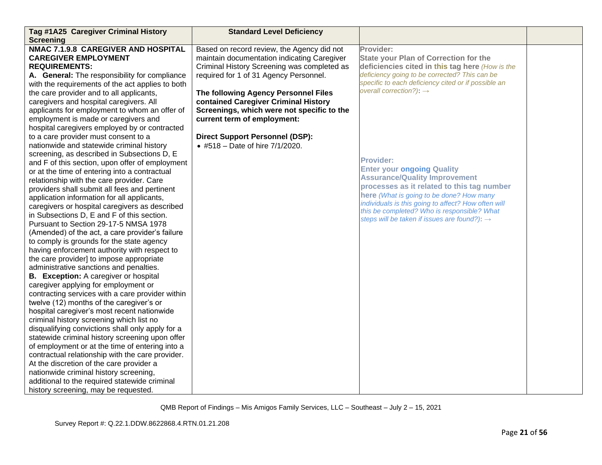| Tag #1A25 Caregiver Criminal History<br><b>Screening</b>                                           | <b>Standard Level Deficiency</b>            |                                                                                                         |  |
|----------------------------------------------------------------------------------------------------|---------------------------------------------|---------------------------------------------------------------------------------------------------------|--|
| NMAC 7.1.9.8 CAREGIVER AND HOSPITAL                                                                | Based on record review, the Agency did not  | Provider:                                                                                               |  |
| <b>CAREGIVER EMPLOYMENT</b>                                                                        | maintain documentation indicating Caregiver | <b>State your Plan of Correction for the</b>                                                            |  |
| <b>REQUIREMENTS:</b>                                                                               | Criminal History Screening was completed as | deficiencies cited in this tag here (How is the                                                         |  |
| A. General: The responsibility for compliance                                                      | required for 1 of 31 Agency Personnel.      | deficiency going to be corrected? This can be                                                           |  |
| with the requirements of the act applies to both                                                   |                                             | specific to each deficiency cited or if possible an                                                     |  |
| the care provider and to all applicants,                                                           | The following Agency Personnel Files        | overall correction?): $\rightarrow$                                                                     |  |
| caregivers and hospital caregivers. All                                                            | contained Caregiver Criminal History        |                                                                                                         |  |
| applicants for employment to whom an offer of                                                      | Screenings, which were not specific to the  |                                                                                                         |  |
| employment is made or caregivers and                                                               | current term of employment:                 |                                                                                                         |  |
| hospital caregivers employed by or contracted                                                      |                                             |                                                                                                         |  |
| to a care provider must consent to a                                                               | <b>Direct Support Personnel (DSP):</b>      |                                                                                                         |  |
| nationwide and statewide criminal history                                                          | • #518 - Date of hire 7/1/2020.             |                                                                                                         |  |
| screening, as described in Subsections D, E                                                        |                                             |                                                                                                         |  |
| and F of this section, upon offer of employment                                                    |                                             | <b>Provider:</b>                                                                                        |  |
| or at the time of entering into a contractual                                                      |                                             | <b>Enter your ongoing Quality</b>                                                                       |  |
| relationship with the care provider. Care                                                          |                                             | <b>Assurance/Quality Improvement</b>                                                                    |  |
| providers shall submit all fees and pertinent                                                      |                                             | processes as it related to this tag number                                                              |  |
| application information for all applicants,                                                        |                                             | here (What is going to be done? How many                                                                |  |
| caregivers or hospital caregivers as described                                                     |                                             | individuals is this going to affect? How often will                                                     |  |
| in Subsections D, E and F of this section.                                                         |                                             | this be completed? Who is responsible? What<br>steps will be taken if issues are found?): $\rightarrow$ |  |
| Pursuant to Section 29-17-5 NMSA 1978                                                              |                                             |                                                                                                         |  |
| (Amended) of the act, a care provider's failure                                                    |                                             |                                                                                                         |  |
| to comply is grounds for the state agency                                                          |                                             |                                                                                                         |  |
| having enforcement authority with respect to                                                       |                                             |                                                                                                         |  |
| the care provider] to impose appropriate                                                           |                                             |                                                                                                         |  |
| administrative sanctions and penalties.                                                            |                                             |                                                                                                         |  |
| <b>B.</b> Exception: A caregiver or hospital                                                       |                                             |                                                                                                         |  |
| caregiver applying for employment or                                                               |                                             |                                                                                                         |  |
| contracting services with a care provider within                                                   |                                             |                                                                                                         |  |
| twelve (12) months of the caregiver's or                                                           |                                             |                                                                                                         |  |
| hospital caregiver's most recent nationwide                                                        |                                             |                                                                                                         |  |
| criminal history screening which list no                                                           |                                             |                                                                                                         |  |
| disqualifying convictions shall only apply for a                                                   |                                             |                                                                                                         |  |
| statewide criminal history screening upon offer<br>of employment or at the time of entering into a |                                             |                                                                                                         |  |
| contractual relationship with the care provider.                                                   |                                             |                                                                                                         |  |
| At the discretion of the care provider a                                                           |                                             |                                                                                                         |  |
| nationwide criminal history screening,                                                             |                                             |                                                                                                         |  |
| additional to the required statewide criminal                                                      |                                             |                                                                                                         |  |
|                                                                                                    |                                             |                                                                                                         |  |
| history screening, may be requested.                                                               |                                             |                                                                                                         |  |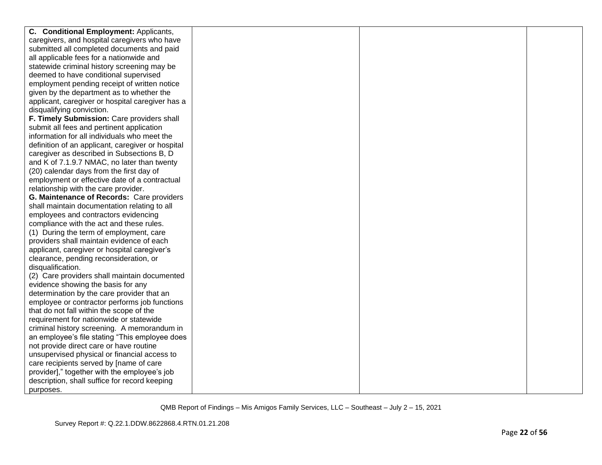| C. Conditional Employment: Applicants,            |  |  |
|---------------------------------------------------|--|--|
| caregivers, and hospital caregivers who have      |  |  |
| submitted all completed documents and paid        |  |  |
| all applicable fees for a nationwide and          |  |  |
| statewide criminal history screening may be       |  |  |
| deemed to have conditional supervised             |  |  |
| employment pending receipt of written notice      |  |  |
| given by the department as to whether the         |  |  |
| applicant, caregiver or hospital caregiver has a  |  |  |
| disqualifying conviction.                         |  |  |
| F. Timely Submission: Care providers shall        |  |  |
| submit all fees and pertinent application         |  |  |
| information for all individuals who meet the      |  |  |
| definition of an applicant, caregiver or hospital |  |  |
| caregiver as described in Subsections B, D        |  |  |
| and K of 7.1.9.7 NMAC, no later than twenty       |  |  |
| (20) calendar days from the first day of          |  |  |
| employment or effective date of a contractual     |  |  |
| relationship with the care provider.              |  |  |
| G. Maintenance of Records: Care providers         |  |  |
| shall maintain documentation relating to all      |  |  |
| employees and contractors evidencing              |  |  |
| compliance with the act and these rules.          |  |  |
| (1) During the term of employment, care           |  |  |
| providers shall maintain evidence of each         |  |  |
| applicant, caregiver or hospital caregiver's      |  |  |
| clearance, pending reconsideration, or            |  |  |
| disqualification.                                 |  |  |
| (2) Care providers shall maintain documented      |  |  |
| evidence showing the basis for any                |  |  |
| determination by the care provider that an        |  |  |
| employee or contractor performs job functions     |  |  |
| that do not fall within the scope of the          |  |  |
| requirement for nationwide or statewide           |  |  |
| criminal history screening. A memorandum in       |  |  |
| an employee's file stating "This employee does    |  |  |
| not provide direct care or have routine           |  |  |
| unsupervised physical or financial access to      |  |  |
| care recipients served by [name of care           |  |  |
| provider]," together with the employee's job      |  |  |
| description, shall suffice for record keeping     |  |  |
| purposes.                                         |  |  |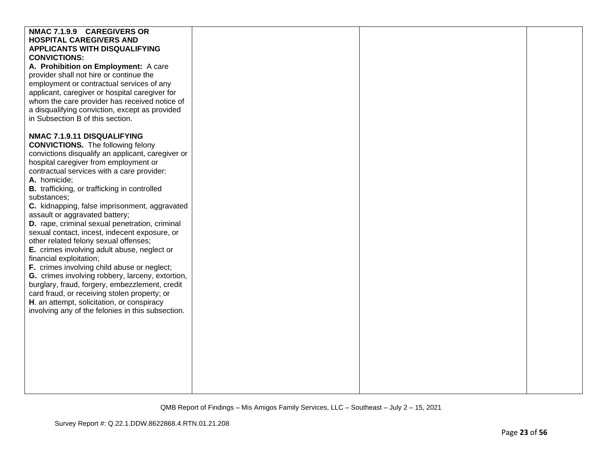| NMAC 7.1.9.9 CAREGIVERS OR<br><b>HOSPITAL CAREGIVERS AND</b><br><b>APPLICANTS WITH DISQUALIFYING</b><br><b>CONVICTIONS:</b><br>A. Prohibition on Employment: A care<br>provider shall not hire or continue the<br>employment or contractual services of any<br>applicant, caregiver or hospital caregiver for<br>whom the care provider has received notice of<br>a disqualifying conviction, except as provided<br>in Subsection B of this section.                                                                                                                                                                                                                                                                                                                                                                                                                                                                |  |  |
|---------------------------------------------------------------------------------------------------------------------------------------------------------------------------------------------------------------------------------------------------------------------------------------------------------------------------------------------------------------------------------------------------------------------------------------------------------------------------------------------------------------------------------------------------------------------------------------------------------------------------------------------------------------------------------------------------------------------------------------------------------------------------------------------------------------------------------------------------------------------------------------------------------------------|--|--|
| NMAC 7.1.9.11 DISQUALIFYING<br><b>CONVICTIONS.</b> The following felony<br>convictions disqualify an applicant, caregiver or<br>hospital caregiver from employment or<br>contractual services with a care provider:<br>A. homicide;<br>B. trafficking, or trafficking in controlled<br>substances;<br>C. kidnapping, false imprisonment, aggravated<br>assault or aggravated battery;<br>D. rape, criminal sexual penetration, criminal<br>sexual contact, incest, indecent exposure, or<br>other related felony sexual offenses;<br>E. crimes involving adult abuse, neglect or<br>financial exploitation;<br>F. crimes involving child abuse or neglect;<br>G. crimes involving robbery, larceny, extortion,<br>burglary, fraud, forgery, embezzlement, credit<br>card fraud, or receiving stolen property; or<br>H. an attempt, solicitation, or conspiracy<br>involving any of the felonies in this subsection. |  |  |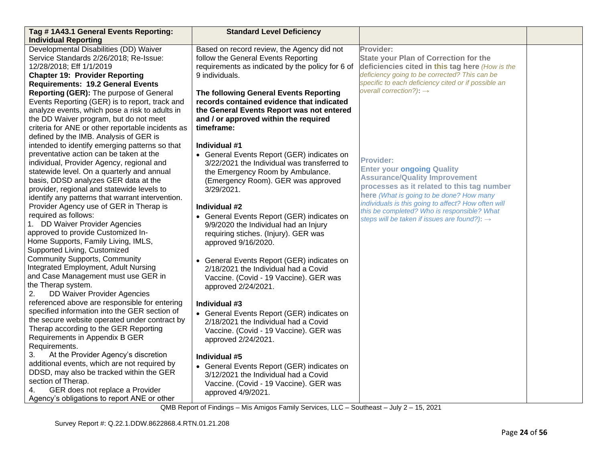| Tag #1A43.1 General Events Reporting:                                                                                                                                                                                                                                                                                                                                     | <b>Standard Level Deficiency</b>                                                                                                                                                                                    |                                                                                                                                                                                                                                                |  |
|---------------------------------------------------------------------------------------------------------------------------------------------------------------------------------------------------------------------------------------------------------------------------------------------------------------------------------------------------------------------------|---------------------------------------------------------------------------------------------------------------------------------------------------------------------------------------------------------------------|------------------------------------------------------------------------------------------------------------------------------------------------------------------------------------------------------------------------------------------------|--|
| <b>Individual Reporting</b>                                                                                                                                                                                                                                                                                                                                               |                                                                                                                                                                                                                     |                                                                                                                                                                                                                                                |  |
| Developmental Disabilities (DD) Waiver<br>Service Standards 2/26/2018; Re-Issue:<br>12/28/2018; Eff 1/1/2019<br><b>Chapter 19: Provider Reporting</b><br><b>Requirements: 19.2 General Events</b>                                                                                                                                                                         | Based on record review, the Agency did not<br>follow the General Events Reporting<br>requirements as indicated by the policy for 6 of<br>9 individuals.                                                             | Provider:<br><b>State your Plan of Correction for the</b><br>deficiencies cited in this tag here (How is the<br>deficiency going to be corrected? This can be<br>specific to each deficiency cited or if possible an                           |  |
| Reporting (GER): The purpose of General<br>Events Reporting (GER) is to report, track and<br>analyze events, which pose a risk to adults in<br>the DD Waiver program, but do not meet<br>criteria for ANE or other reportable incidents as<br>defined by the IMB. Analysis of GER is                                                                                      | The following General Events Reporting<br>records contained evidence that indicated<br>the General Events Report was not entered<br>and / or approved within the required<br>timeframe:                             | overall correction?): $\rightarrow$                                                                                                                                                                                                            |  |
| intended to identify emerging patterns so that<br>preventative action can be taken at the<br>individual, Provider Agency, regional and<br>statewide level. On a quarterly and annual<br>basis, DDSD analyzes GER data at the<br>provider, regional and statewide levels to<br>identify any patterns that warrant intervention.<br>Provider Agency use of GER in Therap is | Individual #1<br>• General Events Report (GER) indicates on<br>3/22/2021 the Individual was transferred to<br>the Emergency Room by Ambulance.<br>(Emergency Room). GER was approved<br>3/29/2021.<br>Individual #2 | <b>Provider:</b><br><b>Enter your ongoing Quality</b><br><b>Assurance/Quality Improvement</b><br>processes as it related to this tag number<br>here (What is going to be done? How many<br>individuals is this going to affect? How often will |  |
| required as follows:<br>1. DD Waiver Provider Agencies<br>approved to provide Customized In-<br>Home Supports, Family Living, IMLS,<br>Supported Living, Customized                                                                                                                                                                                                       | • General Events Report (GER) indicates on<br>9/9/2020 the Individual had an Injury<br>requiring stiches. (Injury). GER was<br>approved 9/16/2020.                                                                  | this be completed? Who is responsible? What<br>steps will be taken if issues are found?): $\rightarrow$                                                                                                                                        |  |
| <b>Community Supports, Community</b><br>Integrated Employment, Adult Nursing<br>and Case Management must use GER in<br>the Therap system.<br>DD Waiver Provider Agencies<br>2.                                                                                                                                                                                            | • General Events Report (GER) indicates on<br>2/18/2021 the Individual had a Covid<br>Vaccine. (Covid - 19 Vaccine). GER was<br>approved 2/24/2021.                                                                 |                                                                                                                                                                                                                                                |  |
| referenced above are responsible for entering<br>specified information into the GER section of<br>the secure website operated under contract by<br>Therap according to the GER Reporting<br>Requirements in Appendix B GER<br>Requirements.                                                                                                                               | Individual #3<br>• General Events Report (GER) indicates on<br>2/18/2021 the Individual had a Covid<br>Vaccine. (Covid - 19 Vaccine). GER was<br>approved 2/24/2021.                                                |                                                                                                                                                                                                                                                |  |
| 3.<br>At the Provider Agency's discretion<br>additional events, which are not required by<br>DDSD, may also be tracked within the GER<br>section of Therap.<br>GER does not replace a Provider<br>4.<br>Agency's obligations to report ANE or other                                                                                                                       | Individual #5<br>• General Events Report (GER) indicates on<br>3/12/2021 the Individual had a Covid<br>Vaccine. (Covid - 19 Vaccine). GER was<br>approved 4/9/2021.                                                 |                                                                                                                                                                                                                                                |  |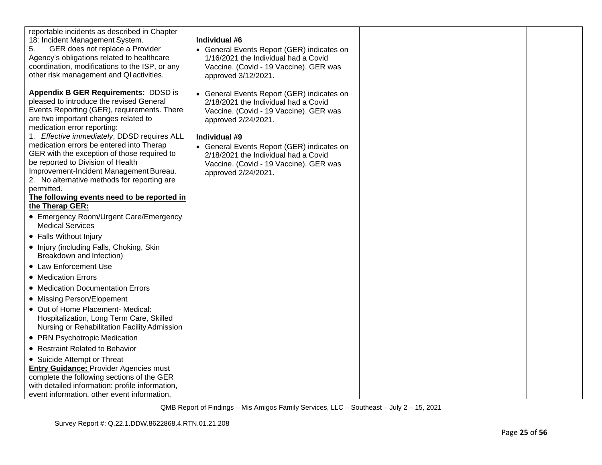| reportable incidents as described in Chapter<br>18: Incident Management System.<br>GER does not replace a Provider<br>5.<br>Agency's obligations related to healthcare<br>coordination, modifications to the ISP, or any<br>other risk management and QI activities.                                                                                                                                                                                                                                                                                                                                                                                                                                                                                                                                                                                                                                                                                                                                                                                                                                                                                                                                                                                                                                  | Individual #6<br>• General Events Report (GER) indicates on<br>1/16/2021 the Individual had a Covid<br>Vaccine. (Covid - 19 Vaccine). GER was<br>approved 3/12/2021.                                                                                                                                                        |  |
|-------------------------------------------------------------------------------------------------------------------------------------------------------------------------------------------------------------------------------------------------------------------------------------------------------------------------------------------------------------------------------------------------------------------------------------------------------------------------------------------------------------------------------------------------------------------------------------------------------------------------------------------------------------------------------------------------------------------------------------------------------------------------------------------------------------------------------------------------------------------------------------------------------------------------------------------------------------------------------------------------------------------------------------------------------------------------------------------------------------------------------------------------------------------------------------------------------------------------------------------------------------------------------------------------------|-----------------------------------------------------------------------------------------------------------------------------------------------------------------------------------------------------------------------------------------------------------------------------------------------------------------------------|--|
| <b>Appendix B GER Requirements: DDSD is</b><br>pleased to introduce the revised General<br>Events Reporting (GER), requirements. There<br>are two important changes related to<br>medication error reporting:<br>1. Effective immediately, DDSD requires ALL<br>medication errors be entered into Therap<br>GER with the exception of those required to<br>be reported to Division of Health<br>Improvement-Incident Management Bureau.<br>2. No alternative methods for reporting are<br>permitted.<br>The following events need to be reported in<br>the Therap GER:<br>• Emergency Room/Urgent Care/Emergency<br><b>Medical Services</b><br>• Falls Without Injury<br>• Injury (including Falls, Choking, Skin<br>Breakdown and Infection)<br>• Law Enforcement Use<br>• Medication Errors<br>• Medication Documentation Errors<br>• Missing Person/Elopement<br>• Out of Home Placement- Medical:<br>Hospitalization, Long Term Care, Skilled<br>Nursing or Rehabilitation Facility Admission<br>• PRN Psychotropic Medication<br>• Restraint Related to Behavior<br>• Suicide Attempt or Threat<br><b>Entry Guidance: Provider Agencies must</b><br>complete the following sections of the GER<br>with detailed information: profile information,<br>event information, other event information, | • General Events Report (GER) indicates on<br>2/18/2021 the Individual had a Covid<br>Vaccine. (Covid - 19 Vaccine). GER was<br>approved 2/24/2021.<br>Individual #9<br>• General Events Report (GER) indicates on<br>2/18/2021 the Individual had a Covid<br>Vaccine. (Covid - 19 Vaccine). GER was<br>approved 2/24/2021. |  |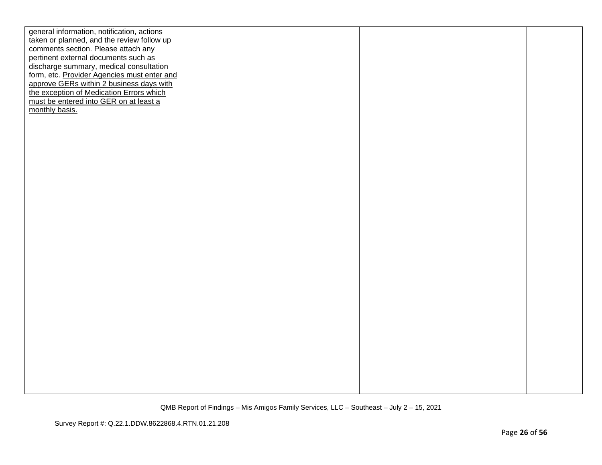| general information, notification, actions  |  |  |
|---------------------------------------------|--|--|
| taken or planned, and the review follow up  |  |  |
| comments section. Please attach any         |  |  |
| pertinent external documents such as        |  |  |
| discharge summary, medical consultation     |  |  |
| form, etc. Provider Agencies must enter and |  |  |
| approve GERs within 2 business days with    |  |  |
| the exception of Medication Errors which    |  |  |
| must be entered into GER on at least a      |  |  |
| monthly basis.                              |  |  |
|                                             |  |  |
|                                             |  |  |
|                                             |  |  |
|                                             |  |  |
|                                             |  |  |
|                                             |  |  |
|                                             |  |  |
|                                             |  |  |
|                                             |  |  |
|                                             |  |  |
|                                             |  |  |
|                                             |  |  |
|                                             |  |  |
|                                             |  |  |
|                                             |  |  |
|                                             |  |  |
|                                             |  |  |
|                                             |  |  |
|                                             |  |  |
|                                             |  |  |
|                                             |  |  |
|                                             |  |  |
|                                             |  |  |
|                                             |  |  |
|                                             |  |  |
|                                             |  |  |
|                                             |  |  |
|                                             |  |  |
|                                             |  |  |
|                                             |  |  |
|                                             |  |  |
|                                             |  |  |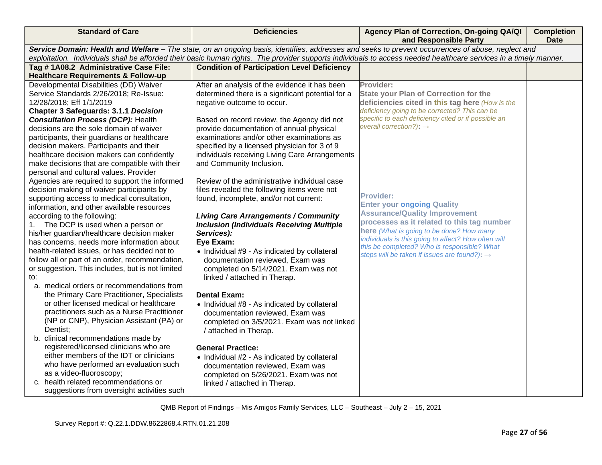| <b>Standard of Care</b>                                                                                                                                                                                                                                                                                               | <b>Deficiencies</b>                                                                   | Agency Plan of Correction, On-going QA/QI<br>and Responsible Party                                      | <b>Completion</b><br><b>Date</b> |
|-----------------------------------------------------------------------------------------------------------------------------------------------------------------------------------------------------------------------------------------------------------------------------------------------------------------------|---------------------------------------------------------------------------------------|---------------------------------------------------------------------------------------------------------|----------------------------------|
| Service Domain: Health and Welfare - The state, on an ongoing basis, identifies, addresses and seeks to prevent occurrences of abuse, neglect and<br>exploitation. Individuals shall be afforded their basic human rights. The provider supports individuals to access needed healthcare services in a timely manner. |                                                                                       |                                                                                                         |                                  |
| Tag # 1A08.2 Administrative Case File:                                                                                                                                                                                                                                                                                | <b>Condition of Participation Level Deficiency</b>                                    |                                                                                                         |                                  |
| <b>Healthcare Requirements &amp; Follow-up</b>                                                                                                                                                                                                                                                                        |                                                                                       |                                                                                                         |                                  |
| Developmental Disabilities (DD) Waiver                                                                                                                                                                                                                                                                                | After an analysis of the evidence it has been                                         | Provider:                                                                                               |                                  |
| Service Standards 2/26/2018; Re-Issue:                                                                                                                                                                                                                                                                                | determined there is a significant potential for a                                     | <b>State your Plan of Correction for the</b>                                                            |                                  |
| 12/28/2018; Eff 1/1/2019                                                                                                                                                                                                                                                                                              | negative outcome to occur.                                                            | deficiencies cited in this tag here (How is the                                                         |                                  |
| <b>Chapter 3 Safeguards: 3.1.1 Decision</b>                                                                                                                                                                                                                                                                           |                                                                                       | deficiency going to be corrected? This can be                                                           |                                  |
| <b>Consultation Process (DCP): Health</b>                                                                                                                                                                                                                                                                             | Based on record review, the Agency did not                                            | specific to each deficiency cited or if possible an                                                     |                                  |
| decisions are the sole domain of waiver                                                                                                                                                                                                                                                                               | provide documentation of annual physical                                              | overall correction?): $\rightarrow$                                                                     |                                  |
| participants, their guardians or healthcare                                                                                                                                                                                                                                                                           | examinations and/or other examinations as                                             |                                                                                                         |                                  |
| decision makers. Participants and their                                                                                                                                                                                                                                                                               | specified by a licensed physician for 3 of 9                                          |                                                                                                         |                                  |
| healthcare decision makers can confidently                                                                                                                                                                                                                                                                            | individuals receiving Living Care Arrangements                                        |                                                                                                         |                                  |
| make decisions that are compatible with their                                                                                                                                                                                                                                                                         | and Community Inclusion.                                                              |                                                                                                         |                                  |
| personal and cultural values. Provider                                                                                                                                                                                                                                                                                |                                                                                       |                                                                                                         |                                  |
| Agencies are required to support the informed                                                                                                                                                                                                                                                                         | Review of the administrative individual case                                          |                                                                                                         |                                  |
| decision making of waiver participants by<br>supporting access to medical consultation,                                                                                                                                                                                                                               | files revealed the following items were not<br>found, incomplete, and/or not current: | <b>Provider:</b>                                                                                        |                                  |
| information, and other available resources                                                                                                                                                                                                                                                                            |                                                                                       | <b>Enter your ongoing Quality</b>                                                                       |                                  |
| according to the following:                                                                                                                                                                                                                                                                                           | <b>Living Care Arrangements / Community</b>                                           | <b>Assurance/Quality Improvement</b>                                                                    |                                  |
| The DCP is used when a person or<br>1.                                                                                                                                                                                                                                                                                | <b>Inclusion (Individuals Receiving Multiple</b>                                      | processes as it related to this tag number                                                              |                                  |
| his/her guardian/healthcare decision maker                                                                                                                                                                                                                                                                            | Services):                                                                            | here (What is going to be done? How many                                                                |                                  |
| has concerns, needs more information about                                                                                                                                                                                                                                                                            | Eye Exam:                                                                             | individuals is this going to affect? How often will                                                     |                                  |
| health-related issues, or has decided not to                                                                                                                                                                                                                                                                          | • Individual #9 - As indicated by collateral                                          | this be completed? Who is responsible? What<br>steps will be taken if issues are found?): $\rightarrow$ |                                  |
| follow all or part of an order, recommendation,                                                                                                                                                                                                                                                                       | documentation reviewed, Exam was                                                      |                                                                                                         |                                  |
| or suggestion. This includes, but is not limited                                                                                                                                                                                                                                                                      | completed on 5/14/2021. Exam was not                                                  |                                                                                                         |                                  |
| to:                                                                                                                                                                                                                                                                                                                   | linked / attached in Therap.                                                          |                                                                                                         |                                  |
| a. medical orders or recommendations from                                                                                                                                                                                                                                                                             |                                                                                       |                                                                                                         |                                  |
| the Primary Care Practitioner, Specialists                                                                                                                                                                                                                                                                            | <b>Dental Exam:</b>                                                                   |                                                                                                         |                                  |
| or other licensed medical or healthcare                                                                                                                                                                                                                                                                               | • Individual #8 - As indicated by collateral                                          |                                                                                                         |                                  |
| practitioners such as a Nurse Practitioner                                                                                                                                                                                                                                                                            | documentation reviewed, Exam was                                                      |                                                                                                         |                                  |
| (NP or CNP), Physician Assistant (PA) or                                                                                                                                                                                                                                                                              | completed on 3/5/2021. Exam was not linked                                            |                                                                                                         |                                  |
| Dentist;                                                                                                                                                                                                                                                                                                              | / attached in Therap.                                                                 |                                                                                                         |                                  |
| b. clinical recommendations made by<br>registered/licensed clinicians who are                                                                                                                                                                                                                                         | <b>General Practice:</b>                                                              |                                                                                                         |                                  |
| either members of the IDT or clinicians                                                                                                                                                                                                                                                                               | • Individual #2 - As indicated by collateral                                          |                                                                                                         |                                  |
| who have performed an evaluation such                                                                                                                                                                                                                                                                                 | documentation reviewed, Exam was                                                      |                                                                                                         |                                  |
| as a video-fluoroscopy;                                                                                                                                                                                                                                                                                               | completed on 5/26/2021. Exam was not                                                  |                                                                                                         |                                  |
| c. health related recommendations or                                                                                                                                                                                                                                                                                  | linked / attached in Therap.                                                          |                                                                                                         |                                  |
| suggestions from oversight activities such                                                                                                                                                                                                                                                                            |                                                                                       |                                                                                                         |                                  |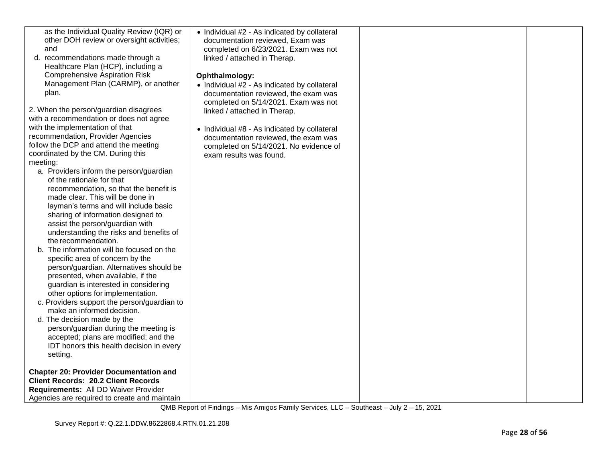| as the Individual Quality Review (IQR) or<br>other DOH review or oversight activities;<br>and<br>recommendations made through a<br>d.<br>Healthcare Plan (HCP), including a<br><b>Comprehensive Aspiration Risk</b><br>Management Plan (CARMP), or another<br>plan.<br>2. When the person/guardian disagrees<br>with a recommendation or does not agree<br>with the implementation of that<br>recommendation, Provider Agencies<br>follow the DCP and attend the meeting<br>coordinated by the CM. During this<br>meeting:<br>a. Providers inform the person/guardian<br>of the rationale for that<br>recommendation, so that the benefit is<br>made clear. This will be done in<br>layman's terms and will include basic<br>sharing of information designed to<br>assist the person/guardian with<br>understanding the risks and benefits of<br>the recommendation.<br>b. The information will be focused on the<br>specific area of concern by the<br>person/guardian. Alternatives should be<br>presented, when available, if the<br>guardian is interested in considering<br>other options for implementation.<br>c. Providers support the person/guardian to<br>make an informed decision.<br>d. The decision made by the<br>person/guardian during the meeting is<br>accepted; plans are modified; and the<br>IDT honors this health decision in every<br>setting. | • Individual #2 - As indicated by collateral<br>documentation reviewed, Exam was<br>completed on 6/23/2021. Exam was not<br>linked / attached in Therap.<br>Ophthalmology:<br>• Individual #2 - As indicated by collateral<br>documentation reviewed, the exam was<br>completed on 5/14/2021. Exam was not<br>linked / attached in Therap.<br>• Individual #8 - As indicated by collateral<br>documentation reviewed, the exam was<br>completed on 5/14/2021. No evidence of<br>exam results was found. |  |
|--------------------------------------------------------------------------------------------------------------------------------------------------------------------------------------------------------------------------------------------------------------------------------------------------------------------------------------------------------------------------------------------------------------------------------------------------------------------------------------------------------------------------------------------------------------------------------------------------------------------------------------------------------------------------------------------------------------------------------------------------------------------------------------------------------------------------------------------------------------------------------------------------------------------------------------------------------------------------------------------------------------------------------------------------------------------------------------------------------------------------------------------------------------------------------------------------------------------------------------------------------------------------------------------------------------------------------------------------------------------------|---------------------------------------------------------------------------------------------------------------------------------------------------------------------------------------------------------------------------------------------------------------------------------------------------------------------------------------------------------------------------------------------------------------------------------------------------------------------------------------------------------|--|
| <b>Chapter 20: Provider Documentation and</b><br><b>Client Records: 20.2 Client Records</b>                                                                                                                                                                                                                                                                                                                                                                                                                                                                                                                                                                                                                                                                                                                                                                                                                                                                                                                                                                                                                                                                                                                                                                                                                                                                              |                                                                                                                                                                                                                                                                                                                                                                                                                                                                                                         |  |
| Requirements: All DD Waiver Provider                                                                                                                                                                                                                                                                                                                                                                                                                                                                                                                                                                                                                                                                                                                                                                                                                                                                                                                                                                                                                                                                                                                                                                                                                                                                                                                                     |                                                                                                                                                                                                                                                                                                                                                                                                                                                                                                         |  |
| Agencies are required to create and maintain                                                                                                                                                                                                                                                                                                                                                                                                                                                                                                                                                                                                                                                                                                                                                                                                                                                                                                                                                                                                                                                                                                                                                                                                                                                                                                                             |                                                                                                                                                                                                                                                                                                                                                                                                                                                                                                         |  |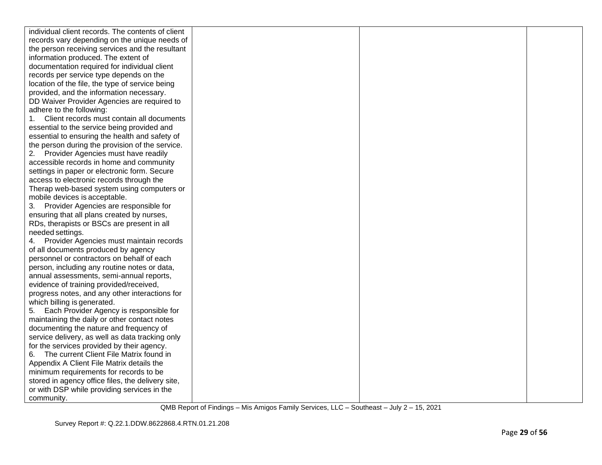| individual client records. The contents of client |  |  |
|---------------------------------------------------|--|--|
| records vary depending on the unique needs of     |  |  |
| the person receiving services and the resultant   |  |  |
| information produced. The extent of               |  |  |
| documentation required for individual client      |  |  |
| records per service type depends on the           |  |  |
| location of the file, the type of service being   |  |  |
| provided, and the information necessary.          |  |  |
| DD Waiver Provider Agencies are required to       |  |  |
| adhere to the following:                          |  |  |
| Client records must contain all documents<br>1.   |  |  |
| essential to the service being provided and       |  |  |
| essential to ensuring the health and safety of    |  |  |
| the person during the provision of the service.   |  |  |
| 2. Provider Agencies must have readily            |  |  |
| accessible records in home and community          |  |  |
| settings in paper or electronic form. Secure      |  |  |
| access to electronic records through the          |  |  |
| Therap web-based system using computers or        |  |  |
| mobile devices is acceptable.                     |  |  |
| 3. Provider Agencies are responsible for          |  |  |
| ensuring that all plans created by nurses,        |  |  |
| RDs, therapists or BSCs are present in all        |  |  |
| needed settings.                                  |  |  |
| 4. Provider Agencies must maintain records        |  |  |
| of all documents produced by agency               |  |  |
| personnel or contractors on behalf of each        |  |  |
| person, including any routine notes or data,      |  |  |
| annual assessments, semi-annual reports,          |  |  |
| evidence of training provided/received,           |  |  |
| progress notes, and any other interactions for    |  |  |
| which billing is generated.                       |  |  |
| Each Provider Agency is responsible for<br>5.     |  |  |
| maintaining the daily or other contact notes      |  |  |
| documenting the nature and frequency of           |  |  |
| service delivery, as well as data tracking only   |  |  |
| for the services provided by their agency.        |  |  |
| 6. The current Client File Matrix found in        |  |  |
| Appendix A Client File Matrix details the         |  |  |
| minimum requirements for records to be            |  |  |
| stored in agency office files, the delivery site, |  |  |
| or with DSP while providing services in the       |  |  |
| community.                                        |  |  |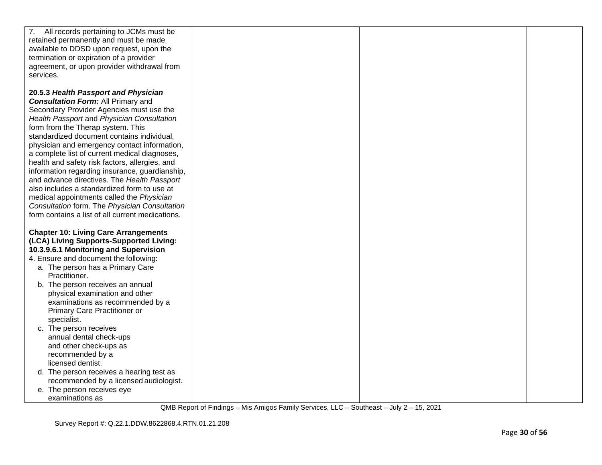| 7. All records pertaining to JCMs must be        |  |  |
|--------------------------------------------------|--|--|
| retained permanently and must be made            |  |  |
| available to DDSD upon request, upon the         |  |  |
| termination or expiration of a provider          |  |  |
| agreement, or upon provider withdrawal from      |  |  |
|                                                  |  |  |
| services.                                        |  |  |
|                                                  |  |  |
| 20.5.3 Health Passport and Physician             |  |  |
| <b>Consultation Form: All Primary and</b>        |  |  |
| Secondary Provider Agencies must use the         |  |  |
| Health Passport and Physician Consultation       |  |  |
| form from the Therap system. This                |  |  |
| standardized document contains individual,       |  |  |
| physician and emergency contact information,     |  |  |
| a complete list of current medical diagnoses,    |  |  |
| health and safety risk factors, allergies, and   |  |  |
| information regarding insurance, guardianship,   |  |  |
|                                                  |  |  |
| and advance directives. The Health Passport      |  |  |
| also includes a standardized form to use at      |  |  |
| medical appointments called the Physician        |  |  |
| Consultation form. The Physician Consultation    |  |  |
| form contains a list of all current medications. |  |  |
|                                                  |  |  |
| <b>Chapter 10: Living Care Arrangements</b>      |  |  |
| (LCA) Living Supports-Supported Living:          |  |  |
| 10.3.9.6.1 Monitoring and Supervision            |  |  |
| 4. Ensure and document the following:            |  |  |
| a. The person has a Primary Care                 |  |  |
| Practitioner.                                    |  |  |
| b. The person receives an annual                 |  |  |
| physical examination and other                   |  |  |
|                                                  |  |  |
| examinations as recommended by a                 |  |  |
| <b>Primary Care Practitioner or</b>              |  |  |
| specialist.                                      |  |  |
| c. The person receives                           |  |  |
| annual dental check-ups                          |  |  |
| and other check-ups as                           |  |  |
| recommended by a                                 |  |  |
| licensed dentist.                                |  |  |
| d. The person receives a hearing test as         |  |  |
| recommended by a licensed audiologist.           |  |  |
| e. The person receives eye                       |  |  |
| examinations as                                  |  |  |
|                                                  |  |  |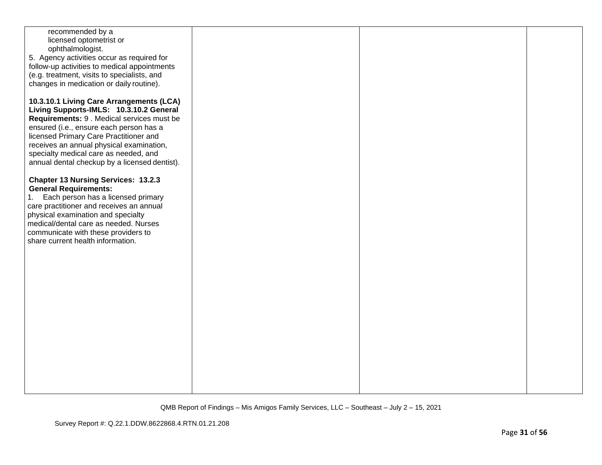| recommended by a                              |  |  |
|-----------------------------------------------|--|--|
|                                               |  |  |
| licensed optometrist or                       |  |  |
| ophthalmologist.                              |  |  |
|                                               |  |  |
| 5. Agency activities occur as required for    |  |  |
| follow-up activities to medical appointments  |  |  |
| (e.g. treatment, visits to specialists, and   |  |  |
|                                               |  |  |
| changes in medication or daily routine).      |  |  |
|                                               |  |  |
|                                               |  |  |
| 10.3.10.1 Living Care Arrangements (LCA)      |  |  |
| Living Supports-IMLS: 10.3.10.2 General       |  |  |
|                                               |  |  |
| Requirements: 9 . Medical services must be    |  |  |
| ensured (i.e., ensure each person has a       |  |  |
|                                               |  |  |
| licensed Primary Care Practitioner and        |  |  |
| receives an annual physical examination,      |  |  |
| specialty medical care as needed, and         |  |  |
|                                               |  |  |
| annual dental checkup by a licensed dentist). |  |  |
|                                               |  |  |
|                                               |  |  |
| <b>Chapter 13 Nursing Services: 13.2.3</b>    |  |  |
| <b>General Requirements:</b>                  |  |  |
| Each person has a licensed primary            |  |  |
| 1.                                            |  |  |
| care practitioner and receives an annual      |  |  |
| physical examination and specialty            |  |  |
|                                               |  |  |
| medical/dental care as needed. Nurses         |  |  |
| communicate with these providers to           |  |  |
| share current health information.             |  |  |
|                                               |  |  |
|                                               |  |  |
|                                               |  |  |
|                                               |  |  |
|                                               |  |  |
|                                               |  |  |
|                                               |  |  |
|                                               |  |  |
|                                               |  |  |
|                                               |  |  |
|                                               |  |  |
|                                               |  |  |
|                                               |  |  |
|                                               |  |  |
|                                               |  |  |
|                                               |  |  |
|                                               |  |  |
|                                               |  |  |
|                                               |  |  |
|                                               |  |  |
|                                               |  |  |
|                                               |  |  |
|                                               |  |  |
|                                               |  |  |
|                                               |  |  |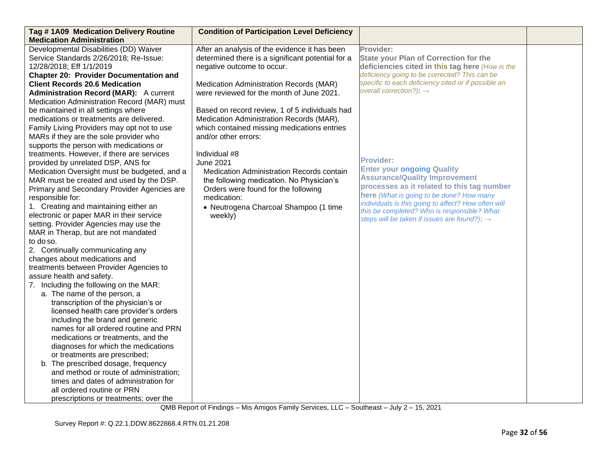| Tag #1A09 Medication Delivery Routine<br><b>Condition of Participation Level Deficiency</b>                                                 |  |
|---------------------------------------------------------------------------------------------------------------------------------------------|--|
| <b>Medication Administration</b>                                                                                                            |  |
| Developmental Disabilities (DD) Waiver<br>After an analysis of the evidence it has been<br>Provider:                                        |  |
| Service Standards 2/26/2018; Re-Issue:<br>determined there is a significant potential for a<br><b>State your Plan of Correction for the</b> |  |
| 12/28/2018; Eff 1/1/2019<br>negative outcome to occur.<br>deficiencies cited in this tag here (How is the                                   |  |
| deficiency going to be corrected? This can be<br><b>Chapter 20: Provider Documentation and</b>                                              |  |
| specific to each deficiency cited or if possible an<br><b>Client Records 20.6 Medication</b><br>Medication Administration Records (MAR)     |  |
| overall correction?): $\rightarrow$<br>were reviewed for the month of June 2021.<br><b>Administration Record (MAR):</b> A current           |  |
| Medication Administration Record (MAR) must                                                                                                 |  |
| be maintained in all settings where<br>Based on record review, 1 of 5 individuals had                                                       |  |
| medications or treatments are delivered.<br>Medication Administration Records (MAR),                                                        |  |
| which contained missing medications entries<br>Family Living Providers may opt not to use                                                   |  |
| MARs if they are the sole provider who<br>and/or other errors:                                                                              |  |
| supports the person with medications or                                                                                                     |  |
| treatments. However, if there are services<br>Individual #8                                                                                 |  |
| <b>Provider:</b><br>provided by unrelated DSP, ANS for<br><b>June 2021</b>                                                                  |  |
| <b>Enter your ongoing Quality</b><br>Medication Oversight must be budgeted, and a<br>Medication Administration Records contain              |  |
| <b>Assurance/Quality Improvement</b><br>MAR must be created and used by the DSP.<br>the following medication. No Physician's                |  |
| processes as it related to this tag number<br>Primary and Secondary Provider Agencies are<br>Orders were found for the following            |  |
| here (What is going to be done? How many<br>responsible for:<br>medication:                                                                 |  |
| individuals is this going to affect? How often will<br>1. Creating and maintaining either an<br>• Neutrogena Charcoal Shampoo (1 time       |  |
| this be completed? Who is responsible? What<br>electronic or paper MAR in their service<br>weekly)                                          |  |
| steps will be taken if issues are found?): $\rightarrow$<br>setting. Provider Agencies may use the                                          |  |
| MAR in Therap, but are not mandated                                                                                                         |  |
| to do so.                                                                                                                                   |  |
| 2. Continually communicating any                                                                                                            |  |
| changes about medications and                                                                                                               |  |
| treatments between Provider Agencies to                                                                                                     |  |
| assure health and safety.                                                                                                                   |  |
| 7. Including the following on the MAR:                                                                                                      |  |
| a. The name of the person, a                                                                                                                |  |
| transcription of the physician's or                                                                                                         |  |
| licensed health care provider's orders                                                                                                      |  |
| including the brand and generic                                                                                                             |  |
| names for all ordered routine and PRN                                                                                                       |  |
| medications or treatments, and the                                                                                                          |  |
| diagnoses for which the medications                                                                                                         |  |
| or treatments are prescribed;                                                                                                               |  |
| b. The prescribed dosage, frequency                                                                                                         |  |
| and method or route of administration;                                                                                                      |  |
| times and dates of administration for                                                                                                       |  |
| all ordered routine or PRN                                                                                                                  |  |
| prescriptions or treatments; over the                                                                                                       |  |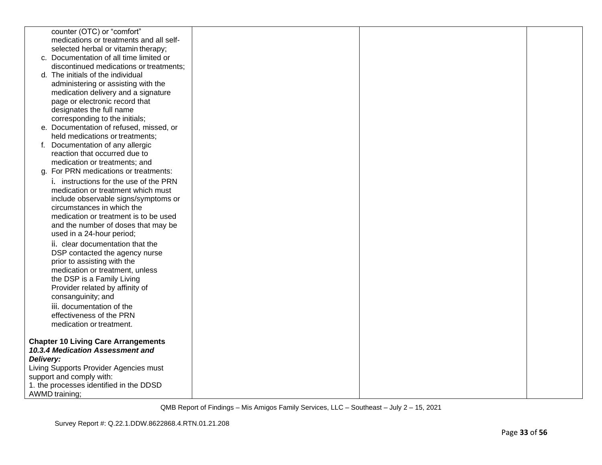|           | counter (OTC) or "comfort"                 |  |  |
|-----------|--------------------------------------------|--|--|
|           | medications or treatments and all self-    |  |  |
|           | selected herbal or vitamin therapy;        |  |  |
|           | c. Documentation of all time limited or    |  |  |
|           | discontinued medications or treatments;    |  |  |
|           | d. The initials of the individual          |  |  |
|           | administering or assisting with the        |  |  |
|           | medication delivery and a signature        |  |  |
|           | page or electronic record that             |  |  |
|           | designates the full name                   |  |  |
|           | corresponding to the initials;             |  |  |
|           | e. Documentation of refused, missed, or    |  |  |
|           | held medications or treatments;            |  |  |
|           | f. Documentation of any allergic           |  |  |
|           | reaction that occurred due to              |  |  |
|           | medication or treatments; and              |  |  |
|           | g. For PRN medications or treatments:      |  |  |
|           | i. instructions for the use of the PRN     |  |  |
|           | medication or treatment which must         |  |  |
|           | include observable signs/symptoms or       |  |  |
|           | circumstances in which the                 |  |  |
|           | medication or treatment is to be used      |  |  |
|           | and the number of doses that may be        |  |  |
|           | used in a 24-hour period;                  |  |  |
|           | ii. clear documentation that the           |  |  |
|           | DSP contacted the agency nurse             |  |  |
|           | prior to assisting with the                |  |  |
|           | medication or treatment, unless            |  |  |
|           | the DSP is a Family Living                 |  |  |
|           | Provider related by affinity of            |  |  |
|           | consanguinity; and                         |  |  |
|           | iii. documentation of the                  |  |  |
|           | effectiveness of the PRN                   |  |  |
|           |                                            |  |  |
|           | medication or treatment.                   |  |  |
|           | <b>Chapter 10 Living Care Arrangements</b> |  |  |
|           | 10.3.4 Medication Assessment and           |  |  |
| Delivery: |                                            |  |  |
|           | Living Supports Provider Agencies must     |  |  |
|           | support and comply with:                   |  |  |
|           |                                            |  |  |
|           | 1. the processes identified in the DDSD    |  |  |
|           | <b>AWMD</b> training;                      |  |  |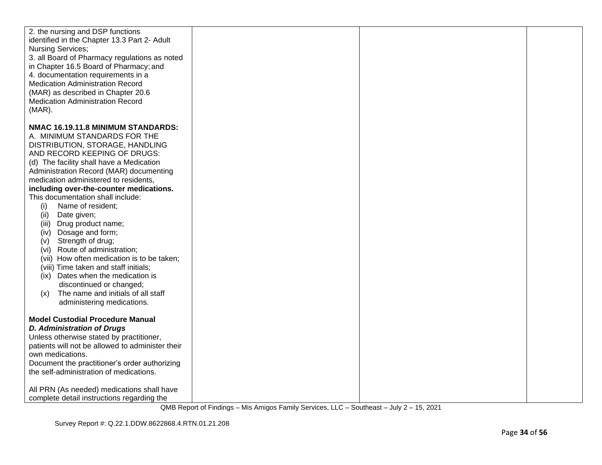| 2. the nursing and DSP functions<br>identified in the Chapter 13.3 Part 2- Adult<br><b>Nursing Services;</b><br>3. all Board of Pharmacy regulations as noted<br>in Chapter 16.5 Board of Pharmacy; and<br>4. documentation requirements in a<br><b>Medication Administration Record</b><br>(MAR) as described in Chapter 20.6<br><b>Medication Administration Record</b><br>$(MAR)$ .                                                                                                                                                                                                                                                                                                                                                                           |  |  |
|------------------------------------------------------------------------------------------------------------------------------------------------------------------------------------------------------------------------------------------------------------------------------------------------------------------------------------------------------------------------------------------------------------------------------------------------------------------------------------------------------------------------------------------------------------------------------------------------------------------------------------------------------------------------------------------------------------------------------------------------------------------|--|--|
| NMAC 16.19.11.8 MINIMUM STANDARDS:<br>A. MINIMUM STANDARDS FOR THE<br>DISTRIBUTION, STORAGE, HANDLING<br>AND RECORD KEEPING OF DRUGS:<br>(d) The facility shall have a Medication<br>Administration Record (MAR) documenting<br>medication administered to residents,<br>including over-the-counter medications.<br>This documentation shall include:<br>Name of resident;<br>(i)<br>Date given;<br>(ii)<br>(iii) Drug product name;<br>Dosage and form;<br>(iv)<br>Strength of drug;<br>(V)<br>(vi) Route of administration;<br>(vii) How often medication is to be taken;<br>(viii) Time taken and staff initials;<br>(ix) Dates when the medication is<br>discontinued or changed;<br>The name and initials of all staff<br>(x)<br>administering medications. |  |  |
| <b>Model Custodial Procedure Manual</b><br><b>D. Administration of Drugs</b><br>Unless otherwise stated by practitioner,<br>patients will not be allowed to administer their<br>own medications.<br>Document the practitioner's order authorizing<br>the self-administration of medications.<br>All PRN (As needed) medications shall have<br>complete detail instructions regarding the                                                                                                                                                                                                                                                                                                                                                                         |  |  |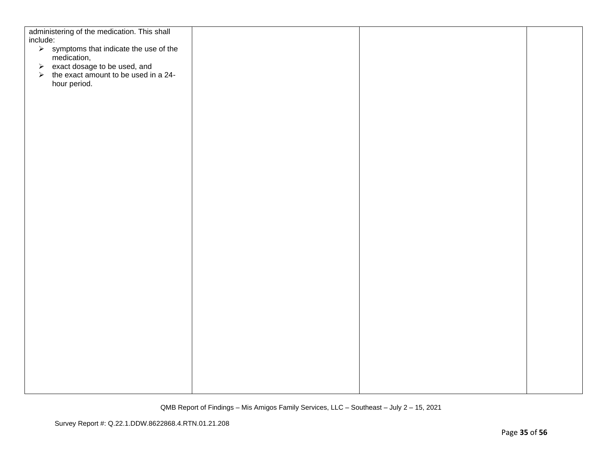| administering of the medication. This shall<br>include:                              |  |  |
|--------------------------------------------------------------------------------------|--|--|
| $\triangleright$ symptoms that indicate the use of the                               |  |  |
| medication,                                                                          |  |  |
| restance and<br>respect dosage to be used, and<br>respect amount to be used in a 24- |  |  |
| hour period.                                                                         |  |  |
|                                                                                      |  |  |
|                                                                                      |  |  |
|                                                                                      |  |  |
|                                                                                      |  |  |
|                                                                                      |  |  |
|                                                                                      |  |  |
|                                                                                      |  |  |
|                                                                                      |  |  |
|                                                                                      |  |  |
|                                                                                      |  |  |
|                                                                                      |  |  |
|                                                                                      |  |  |
|                                                                                      |  |  |
|                                                                                      |  |  |
|                                                                                      |  |  |
|                                                                                      |  |  |
|                                                                                      |  |  |
|                                                                                      |  |  |
|                                                                                      |  |  |
|                                                                                      |  |  |
|                                                                                      |  |  |
|                                                                                      |  |  |
|                                                                                      |  |  |
|                                                                                      |  |  |
|                                                                                      |  |  |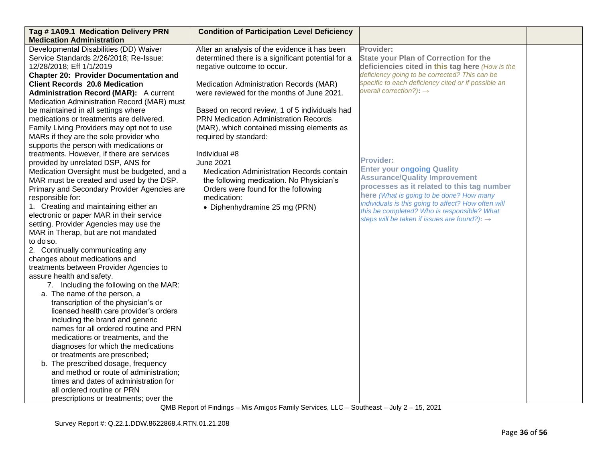| Tag #1A09.1 Medication Delivery PRN                                                          | <b>Condition of Participation Level Deficiency</b> |                                                                                                 |  |
|----------------------------------------------------------------------------------------------|----------------------------------------------------|-------------------------------------------------------------------------------------------------|--|
| <b>Medication Administration</b>                                                             |                                                    |                                                                                                 |  |
| Developmental Disabilities (DD) Waiver                                                       | After an analysis of the evidence it has been      | Provider:                                                                                       |  |
| Service Standards 2/26/2018; Re-Issue:                                                       | determined there is a significant potential for a  | <b>State your Plan of Correction for the</b>                                                    |  |
| 12/28/2018; Eff 1/1/2019                                                                     | negative outcome to occur.                         | deficiencies cited in this tag here (How is the                                                 |  |
| <b>Chapter 20: Provider Documentation and</b>                                                |                                                    | deficiency going to be corrected? This can be                                                   |  |
| <b>Client Records 20.6 Medication</b>                                                        | Medication Administration Records (MAR)            | specific to each deficiency cited or if possible an<br>overall correction?): $\rightarrow$      |  |
| <b>Administration Record (MAR):</b> A current<br>Medication Administration Record (MAR) must | were reviewed for the months of June 2021.         |                                                                                                 |  |
| be maintained in all settings where                                                          | Based on record review, 1 of 5 individuals had     |                                                                                                 |  |
| medications or treatments are delivered.                                                     | <b>PRN Medication Administration Records</b>       |                                                                                                 |  |
| Family Living Providers may opt not to use                                                   | (MAR), which contained missing elements as         |                                                                                                 |  |
| MARs if they are the sole provider who                                                       | required by standard:                              |                                                                                                 |  |
| supports the person with medications or                                                      |                                                    |                                                                                                 |  |
| treatments. However, if there are services                                                   | Individual #8                                      |                                                                                                 |  |
| provided by unrelated DSP, ANS for                                                           | <b>June 2021</b>                                   | <b>Provider:</b>                                                                                |  |
| Medication Oversight must be budgeted, and a                                                 | Medication Administration Records contain          | <b>Enter your ongoing Quality</b>                                                               |  |
| MAR must be created and used by the DSP.                                                     | the following medication. No Physician's           | <b>Assurance/Quality Improvement</b>                                                            |  |
| Primary and Secondary Provider Agencies are                                                  | Orders were found for the following                | processes as it related to this tag number                                                      |  |
| responsible for:                                                                             | medication:                                        | here (What is going to be done? How many<br>individuals is this going to affect? How often will |  |
| 1. Creating and maintaining either an                                                        | • Diphenhydramine 25 mg (PRN)                      | this be completed? Who is responsible? What                                                     |  |
| electronic or paper MAR in their service                                                     |                                                    | steps will be taken if issues are found?): $\rightarrow$                                        |  |
| setting. Provider Agencies may use the                                                       |                                                    |                                                                                                 |  |
| MAR in Therap, but are not mandated                                                          |                                                    |                                                                                                 |  |
| to do so.                                                                                    |                                                    |                                                                                                 |  |
| 2. Continually communicating any                                                             |                                                    |                                                                                                 |  |
| changes about medications and                                                                |                                                    |                                                                                                 |  |
| treatments between Provider Agencies to                                                      |                                                    |                                                                                                 |  |
| assure health and safety.                                                                    |                                                    |                                                                                                 |  |
| 7. Including the following on the MAR:                                                       |                                                    |                                                                                                 |  |
| a. The name of the person, a                                                                 |                                                    |                                                                                                 |  |
| transcription of the physician's or<br>licensed health care provider's orders                |                                                    |                                                                                                 |  |
| including the brand and generic                                                              |                                                    |                                                                                                 |  |
| names for all ordered routine and PRN                                                        |                                                    |                                                                                                 |  |
| medications or treatments, and the                                                           |                                                    |                                                                                                 |  |
| diagnoses for which the medications                                                          |                                                    |                                                                                                 |  |
| or treatments are prescribed;                                                                |                                                    |                                                                                                 |  |
| b. The prescribed dosage, frequency                                                          |                                                    |                                                                                                 |  |
| and method or route of administration;                                                       |                                                    |                                                                                                 |  |
| times and dates of administration for                                                        |                                                    |                                                                                                 |  |
| all ordered routine or PRN                                                                   |                                                    |                                                                                                 |  |
| prescriptions or treatments; over the                                                        |                                                    |                                                                                                 |  |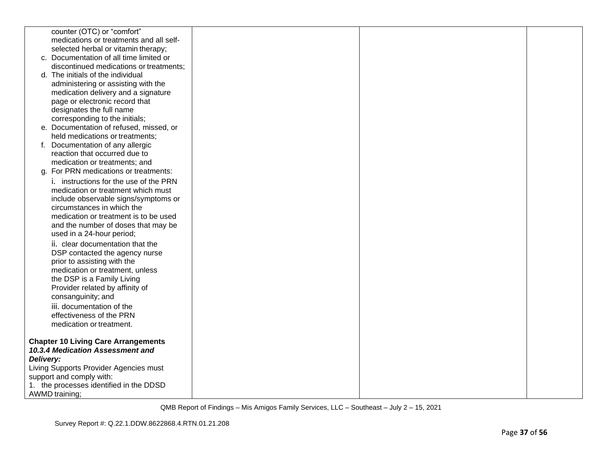|                          | counter (OTC) or "comfort"                                 |  |  |
|--------------------------|------------------------------------------------------------|--|--|
|                          | medications or treatments and all self-                    |  |  |
|                          | selected herbal or vitamin therapy;                        |  |  |
|                          | c. Documentation of all time limited or                    |  |  |
|                          | discontinued medications or treatments;                    |  |  |
|                          | d. The initials of the individual                          |  |  |
|                          | administering or assisting with the                        |  |  |
|                          | medication delivery and a signature                        |  |  |
|                          | page or electronic record that<br>designates the full name |  |  |
|                          | corresponding to the initials;                             |  |  |
|                          | e. Documentation of refused, missed, or                    |  |  |
|                          | held medications or treatments;                            |  |  |
|                          | Documentation of any allergic                              |  |  |
|                          | reaction that occurred due to                              |  |  |
|                          | medication or treatments; and                              |  |  |
|                          | g. For PRN medications or treatments:                      |  |  |
|                          | i. instructions for the use of the PRN                     |  |  |
|                          | medication or treatment which must                         |  |  |
|                          | include observable signs/symptoms or                       |  |  |
|                          | circumstances in which the                                 |  |  |
|                          | medication or treatment is to be used                      |  |  |
|                          | and the number of doses that may be                        |  |  |
|                          | used in a 24-hour period;                                  |  |  |
|                          | ii. clear documentation that the                           |  |  |
|                          | DSP contacted the agency nurse                             |  |  |
|                          | prior to assisting with the                                |  |  |
|                          | medication or treatment, unless                            |  |  |
|                          | the DSP is a Family Living                                 |  |  |
|                          | Provider related by affinity of                            |  |  |
| consanguinity; and       |                                                            |  |  |
|                          | iii. documentation of the                                  |  |  |
|                          | effectiveness of the PRN                                   |  |  |
|                          | medication or treatment.                                   |  |  |
|                          |                                                            |  |  |
|                          | <b>Chapter 10 Living Care Arrangements</b>                 |  |  |
|                          | 10.3.4 Medication Assessment and                           |  |  |
| Delivery:                |                                                            |  |  |
|                          | Living Supports Provider Agencies must                     |  |  |
| support and comply with: |                                                            |  |  |
|                          | 1. the processes identified in the DDSD                    |  |  |
| <b>AWMD</b> training;    |                                                            |  |  |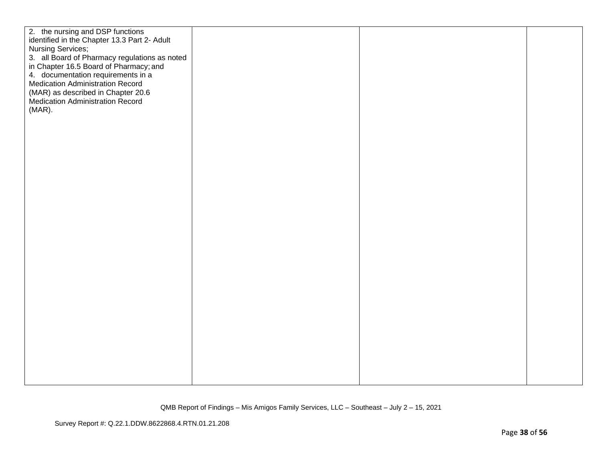| 2. the nursing and DSP functions<br>identified in the Chapter 13.3 Part 2- Adult<br>3. all Board of Pharmacy regulations as noted<br>in Chapter 16.5 Board of Pharmacy; and<br>4. documentation requirements in a<br><b>Medication Administration Record</b><br>(MAR) as described in Chapter 20.6<br>Medication Administration Record |  |
|----------------------------------------------------------------------------------------------------------------------------------------------------------------------------------------------------------------------------------------------------------------------------------------------------------------------------------------|--|
| Nursing Services;<br>$(MAR)$ .                                                                                                                                                                                                                                                                                                         |  |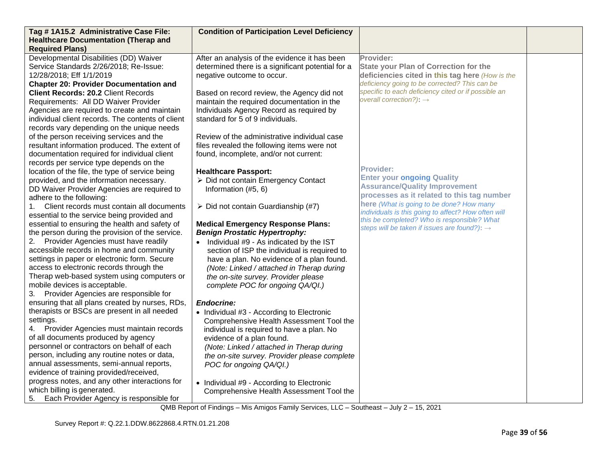| Tag #1A15.2 Administrative Case File:                                                          | <b>Condition of Participation Level Deficiency</b>                                    |                                                          |  |
|------------------------------------------------------------------------------------------------|---------------------------------------------------------------------------------------|----------------------------------------------------------|--|
| <b>Healthcare Documentation (Therap and</b><br><b>Required Plans)</b>                          |                                                                                       |                                                          |  |
| Developmental Disabilities (DD) Waiver                                                         | After an analysis of the evidence it has been                                         | Provider:                                                |  |
| Service Standards 2/26/2018; Re-Issue:                                                         | determined there is a significant potential for a                                     | <b>State your Plan of Correction for the</b>             |  |
| 12/28/2018; Eff 1/1/2019                                                                       | negative outcome to occur.                                                            | deficiencies cited in this tag here (How is the          |  |
| <b>Chapter 20: Provider Documentation and</b>                                                  |                                                                                       | deficiency going to be corrected? This can be            |  |
| <b>Client Records: 20.2 Client Records</b>                                                     | Based on record review, the Agency did not                                            | specific to each deficiency cited or if possible an      |  |
| Requirements: All DD Waiver Provider                                                           | maintain the required documentation in the                                            | overall correction?): $\rightarrow$                      |  |
| Agencies are required to create and maintain                                                   | Individuals Agency Record as required by                                              |                                                          |  |
| individual client records. The contents of client                                              | standard for 5 of 9 individuals.                                                      |                                                          |  |
| records vary depending on the unique needs                                                     |                                                                                       |                                                          |  |
| of the person receiving services and the                                                       | Review of the administrative individual case                                          |                                                          |  |
| resultant information produced. The extent of                                                  | files revealed the following items were not                                           |                                                          |  |
| documentation required for individual client                                                   | found, incomplete, and/or not current:                                                |                                                          |  |
| records per service type depends on the                                                        |                                                                                       | <b>Provider:</b>                                         |  |
| location of the file, the type of service being                                                | <b>Healthcare Passport:</b>                                                           | <b>Enter your ongoing Quality</b>                        |  |
| provided, and the information necessary.                                                       | > Did not contain Emergency Contact                                                   | <b>Assurance/Quality Improvement</b>                     |  |
| DD Waiver Provider Agencies are required to                                                    | Information (#5, 6)                                                                   | processes as it related to this tag number               |  |
| adhere to the following:                                                                       |                                                                                       | here (What is going to be done? How many                 |  |
| Client records must contain all documents<br>1.<br>essential to the service being provided and | $\triangleright$ Did not contain Guardianship (#7)                                    | individuals is this going to affect? How often will      |  |
| essential to ensuring the health and safety of                                                 | <b>Medical Emergency Response Plans:</b>                                              | this be completed? Who is responsible? What              |  |
| the person during the provision of the service.                                                | <b>Benign Prostatic Hypertrophy:</b>                                                  | steps will be taken if issues are found?): $\rightarrow$ |  |
| 2. Provider Agencies must have readily                                                         | • Individual #9 - As indicated by the IST                                             |                                                          |  |
| accessible records in home and community                                                       | section of ISP the individual is required to                                          |                                                          |  |
| settings in paper or electronic form. Secure                                                   | have a plan. No evidence of a plan found.                                             |                                                          |  |
| access to electronic records through the                                                       | (Note: Linked / attached in Therap during                                             |                                                          |  |
| Therap web-based system using computers or                                                     | the on-site survey. Provider please                                                   |                                                          |  |
| mobile devices is acceptable.                                                                  | complete POC for ongoing QA/QI.)                                                      |                                                          |  |
| 3. Provider Agencies are responsible for                                                       |                                                                                       |                                                          |  |
| ensuring that all plans created by nurses, RDs,                                                | <b>Endocrine:</b>                                                                     |                                                          |  |
| therapists or BSCs are present in all needed                                                   | • Individual #3 - According to Electronic                                             |                                                          |  |
| settings.                                                                                      | Comprehensive Health Assessment Tool the                                              |                                                          |  |
| Provider Agencies must maintain records<br>4.                                                  | individual is required to have a plan. No                                             |                                                          |  |
| of all documents produced by agency                                                            | evidence of a plan found.                                                             |                                                          |  |
| personnel or contractors on behalf of each                                                     | (Note: Linked / attached in Therap during                                             |                                                          |  |
| person, including any routine notes or data,                                                   | the on-site survey. Provider please complete                                          |                                                          |  |
| annual assessments, semi-annual reports,                                                       | POC for ongoing QA/QI.)                                                               |                                                          |  |
| evidence of training provided/received,                                                        |                                                                                       |                                                          |  |
| progress notes, and any other interactions for<br>which billing is generated.                  | • Individual #9 - According to Electronic<br>Comprehensive Health Assessment Tool the |                                                          |  |
|                                                                                                |                                                                                       |                                                          |  |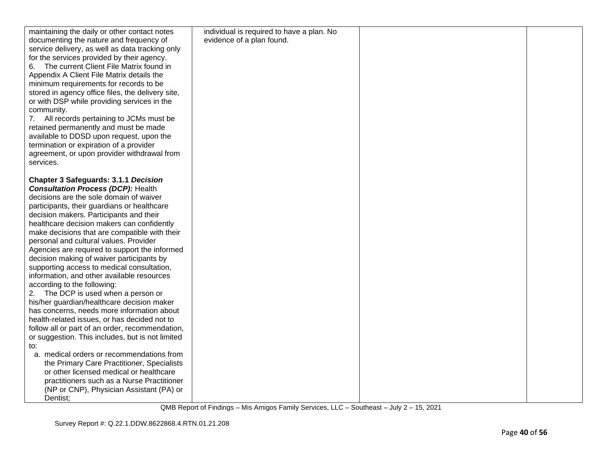| maintaining the daily or other contact notes      | individual is required to have a plan. No |  |
|---------------------------------------------------|-------------------------------------------|--|
| documenting the nature and frequency of           | evidence of a plan found.                 |  |
| service delivery, as well as data tracking only   |                                           |  |
| for the services provided by their agency.        |                                           |  |
| 6. The current Client File Matrix found in        |                                           |  |
| Appendix A Client File Matrix details the         |                                           |  |
| minimum requirements for records to be            |                                           |  |
| stored in agency office files, the delivery site, |                                           |  |
| or with DSP while providing services in the       |                                           |  |
| community.                                        |                                           |  |
| 7. All records pertaining to JCMs must be         |                                           |  |
| retained permanently and must be made             |                                           |  |
| available to DDSD upon request, upon the          |                                           |  |
|                                                   |                                           |  |
| termination or expiration of a provider           |                                           |  |
| agreement, or upon provider withdrawal from       |                                           |  |
| services.                                         |                                           |  |
|                                                   |                                           |  |
| <b>Chapter 3 Safeguards: 3.1.1 Decision</b>       |                                           |  |
| <b>Consultation Process (DCP): Health</b>         |                                           |  |
| decisions are the sole domain of waiver           |                                           |  |
| participants, their guardians or healthcare       |                                           |  |
| decision makers. Participants and their           |                                           |  |
| healthcare decision makers can confidently        |                                           |  |
| make decisions that are compatible with their     |                                           |  |
| personal and cultural values. Provider            |                                           |  |
| Agencies are required to support the informed     |                                           |  |
| decision making of waiver participants by         |                                           |  |
| supporting access to medical consultation,        |                                           |  |
| information, and other available resources        |                                           |  |
| according to the following:                       |                                           |  |
| 2. The DCP is used when a person or               |                                           |  |
| his/her guardian/healthcare decision maker        |                                           |  |
| has concerns, needs more information about        |                                           |  |
| health-related issues, or has decided not to      |                                           |  |
| follow all or part of an order, recommendation,   |                                           |  |
| or suggestion. This includes, but is not limited  |                                           |  |
| to:                                               |                                           |  |
| a. medical orders or recommendations from         |                                           |  |
| the Primary Care Practitioner, Specialists        |                                           |  |
| or other licensed medical or healthcare           |                                           |  |
| practitioners such as a Nurse Practitioner        |                                           |  |
| (NP or CNP), Physician Assistant (PA) or          |                                           |  |
| Dentist;                                          |                                           |  |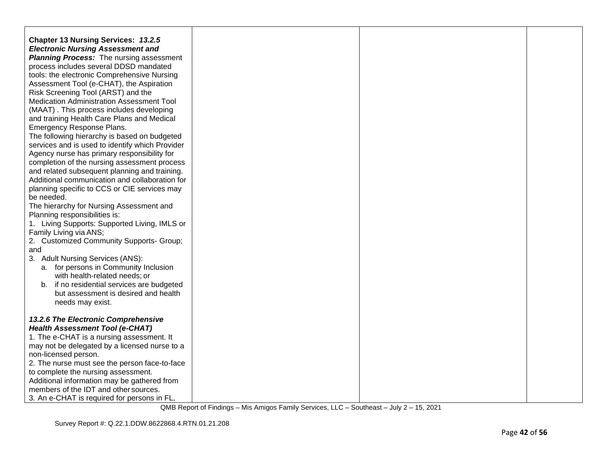| <b>Chapter 13 Nursing Services: 13.2.5</b>                                         |  |  |
|------------------------------------------------------------------------------------|--|--|
| <b>Electronic Nursing Assessment and</b>                                           |  |  |
| <b>Planning Process:</b> The nursing assessment                                    |  |  |
| process includes several DDSD mandated                                             |  |  |
| tools: the electronic Comprehensive Nursing                                        |  |  |
| Assessment Tool (e-CHAT), the Aspiration                                           |  |  |
| Risk Screening Tool (ARST) and the                                                 |  |  |
| Medication Administration Assessment Tool                                          |  |  |
| (MAAT). This process includes developing                                           |  |  |
| and training Health Care Plans and Medical                                         |  |  |
| Emergency Response Plans.                                                          |  |  |
| The following hierarchy is based on budgeted                                       |  |  |
| services and is used to identify which Provider                                    |  |  |
| Agency nurse has primary responsibility for                                        |  |  |
| completion of the nursing assessment process                                       |  |  |
| and related subsequent planning and training.                                      |  |  |
| Additional communication and collaboration for                                     |  |  |
| planning specific to CCS or CIE services may                                       |  |  |
| be needed.                                                                         |  |  |
| The hierarchy for Nursing Assessment and                                           |  |  |
| Planning responsibilities is:                                                      |  |  |
| 1. Living Supports: Supported Living, IMLS or                                      |  |  |
| Family Living via ANS;                                                             |  |  |
| 2. Customized Community Supports- Group;                                           |  |  |
| and                                                                                |  |  |
| 3. Adult Nursing Services (ANS):                                                   |  |  |
| a. for persons in Community Inclusion                                              |  |  |
| with health-related needs; or                                                      |  |  |
| b. if no residential services are budgeted                                         |  |  |
| but assessment is desired and health                                               |  |  |
| needs may exist.                                                                   |  |  |
|                                                                                    |  |  |
| 13.2.6 The Electronic Comprehensive                                                |  |  |
| <b>Health Assessment Tool (e-CHAT)</b>                                             |  |  |
| 1. The e-CHAT is a nursing assessment. It                                          |  |  |
| may not be delegated by a licensed nurse to a                                      |  |  |
| non-licensed person.                                                               |  |  |
| 2. The nurse must see the person face-to-face                                      |  |  |
| to complete the nursing assessment.<br>Additional information may be gathered from |  |  |
| members of the IDT and other sources.                                              |  |  |
|                                                                                    |  |  |
| 3. An e-CHAT is required for persons in FL,                                        |  |  |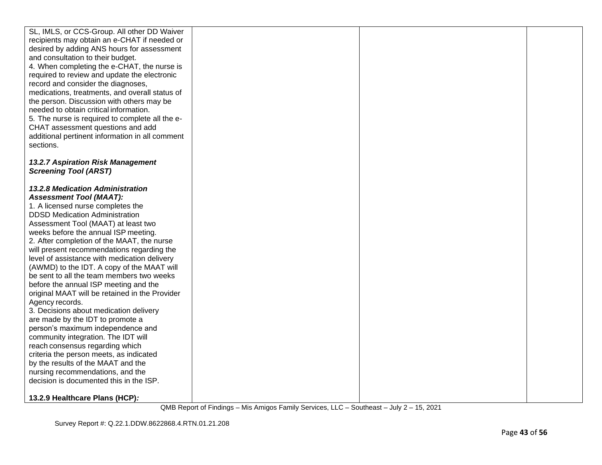| SL, IMLS, or CCS-Group. All other DD Waiver<br>recipients may obtain an e-CHAT if needed or<br>desired by adding ANS hours for assessment<br>and consultation to their budget.<br>4. When completing the e-CHAT, the nurse is<br>required to review and update the electronic<br>record and consider the diagnoses,<br>medications, treatments, and overall status of<br>the person. Discussion with others may be<br>needed to obtain critical information.<br>5. The nurse is required to complete all the e-<br>CHAT assessment questions and add<br>additional pertinent information in all comment<br>sections.                                                                                                                                                                                                                                                                                                                                     |  |  |
|----------------------------------------------------------------------------------------------------------------------------------------------------------------------------------------------------------------------------------------------------------------------------------------------------------------------------------------------------------------------------------------------------------------------------------------------------------------------------------------------------------------------------------------------------------------------------------------------------------------------------------------------------------------------------------------------------------------------------------------------------------------------------------------------------------------------------------------------------------------------------------------------------------------------------------------------------------|--|--|
| 13.2.7 Aspiration Risk Management<br><b>Screening Tool (ARST)</b>                                                                                                                                                                                                                                                                                                                                                                                                                                                                                                                                                                                                                                                                                                                                                                                                                                                                                        |  |  |
| <b>13.2.8 Medication Administration</b><br><b>Assessment Tool (MAAT):</b><br>1. A licensed nurse completes the<br><b>DDSD Medication Administration</b><br>Assessment Tool (MAAT) at least two<br>weeks before the annual ISP meeting.<br>2. After completion of the MAAT, the nurse<br>will present recommendations regarding the<br>level of assistance with medication delivery<br>(AWMD) to the IDT. A copy of the MAAT will<br>be sent to all the team members two weeks<br>before the annual ISP meeting and the<br>original MAAT will be retained in the Provider<br>Agency records.<br>3. Decisions about medication delivery<br>are made by the IDT to promote a<br>person's maximum independence and<br>community integration. The IDT will<br>reach consensus regarding which<br>criteria the person meets, as indicated<br>by the results of the MAAT and the<br>nursing recommendations, and the<br>decision is documented this in the ISP. |  |  |
| 13.2.9 Healthcare Plans (HCP):                                                                                                                                                                                                                                                                                                                                                                                                                                                                                                                                                                                                                                                                                                                                                                                                                                                                                                                           |  |  |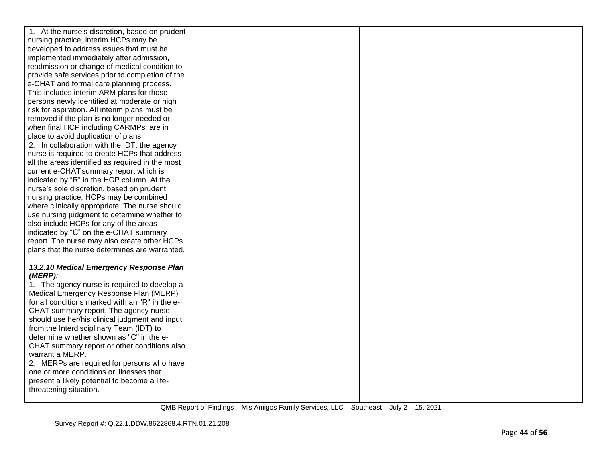| 1. At the nurse's discretion, based on prudent                                       |  |  |
|--------------------------------------------------------------------------------------|--|--|
| nursing practice, interim HCPs may be                                                |  |  |
| developed to address issues that must be                                             |  |  |
| implemented immediately after admission,                                             |  |  |
| readmission or change of medical condition to                                        |  |  |
| provide safe services prior to completion of the                                     |  |  |
| e-CHAT and formal care planning process.                                             |  |  |
| This includes interim ARM plans for those                                            |  |  |
| persons newly identified at moderate or high                                         |  |  |
| risk for aspiration. All interim plans must be                                       |  |  |
| removed if the plan is no longer needed or                                           |  |  |
| when final HCP including CARMPs are in                                               |  |  |
| place to avoid duplication of plans.                                                 |  |  |
| 2. In collaboration with the IDT, the agency                                         |  |  |
| nurse is required to create HCPs that address                                        |  |  |
| all the areas identified as required in the most                                     |  |  |
| current e-CHAT summary report which is                                               |  |  |
| indicated by "R" in the HCP column. At the                                           |  |  |
| nurse's sole discretion, based on prudent                                            |  |  |
| nursing practice, HCPs may be combined                                               |  |  |
| where clinically appropriate. The nurse should                                       |  |  |
| use nursing judgment to determine whether to                                         |  |  |
| also include HCPs for any of the areas                                               |  |  |
| indicated by "C" on the e-CHAT summary                                               |  |  |
| report. The nurse may also create other HCPs                                         |  |  |
| plans that the nurse determines are warranted.                                       |  |  |
|                                                                                      |  |  |
| 13.2.10 Medical Emergency Response Plan                                              |  |  |
| (MERP):                                                                              |  |  |
| 1. The agency nurse is required to develop a                                         |  |  |
| Medical Emergency Response Plan (MERP)                                               |  |  |
| for all conditions marked with an "R" in the e-                                      |  |  |
| CHAT summary report. The agency nurse                                                |  |  |
| should use her/his clinical judgment and input                                       |  |  |
| from the Interdisciplinary Team (IDT) to<br>determine whether shown as "C" in the e- |  |  |
|                                                                                      |  |  |
| CHAT summary report or other conditions also<br>warrant a MERP.                      |  |  |
| 2. MERPs are required for persons who have                                           |  |  |
| one or more conditions or illnesses that                                             |  |  |
| present a likely potential to become a life-                                         |  |  |
| threatening situation.                                                               |  |  |
|                                                                                      |  |  |
|                                                                                      |  |  |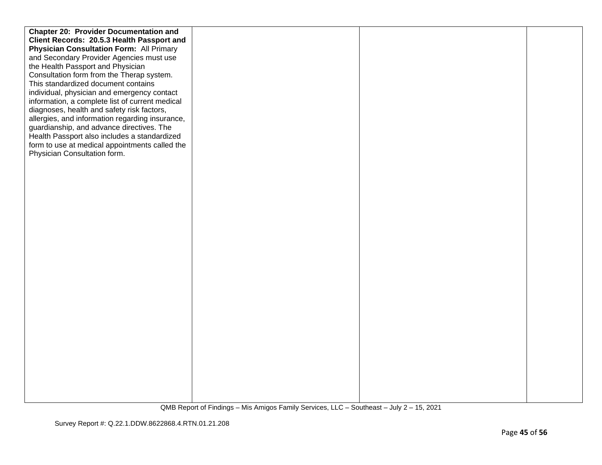| <b>Chapter 20: Provider Documentation and</b>   |  |  |
|-------------------------------------------------|--|--|
| Client Records: 20.5.3 Health Passport and      |  |  |
| <b>Physician Consultation Form: All Primary</b> |  |  |
| and Secondary Provider Agencies must use        |  |  |
| the Health Passport and Physician               |  |  |
| Consultation form from the Therap system.       |  |  |
| This standardized document contains             |  |  |
| individual, physician and emergency contact     |  |  |
| information, a complete list of current medical |  |  |
| diagnoses, health and safety risk factors,      |  |  |
| allergies, and information regarding insurance, |  |  |
| guardianship, and advance directives. The       |  |  |
| Health Passport also includes a standardized    |  |  |
| form to use at medical appointments called the  |  |  |
| Physician Consultation form.                    |  |  |
|                                                 |  |  |
|                                                 |  |  |
|                                                 |  |  |
|                                                 |  |  |
|                                                 |  |  |
|                                                 |  |  |
|                                                 |  |  |
|                                                 |  |  |
|                                                 |  |  |
|                                                 |  |  |
|                                                 |  |  |
|                                                 |  |  |
|                                                 |  |  |
|                                                 |  |  |
|                                                 |  |  |
|                                                 |  |  |
|                                                 |  |  |
|                                                 |  |  |
|                                                 |  |  |
|                                                 |  |  |
|                                                 |  |  |
|                                                 |  |  |
|                                                 |  |  |
|                                                 |  |  |
|                                                 |  |  |
|                                                 |  |  |
|                                                 |  |  |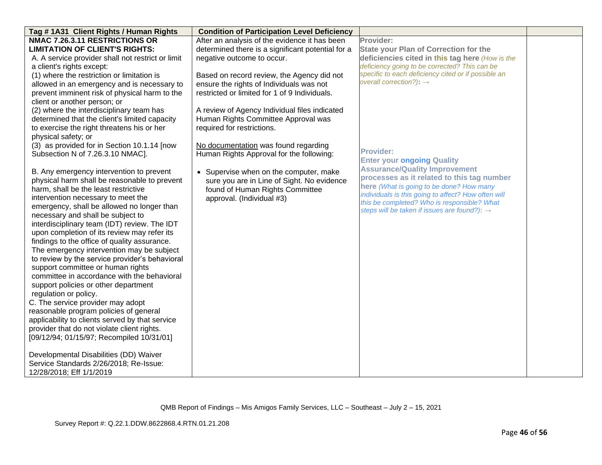| Tag #1A31 Client Rights / Human Rights                                                   | <b>Condition of Participation Level Deficiency</b> |                                                          |  |
|------------------------------------------------------------------------------------------|----------------------------------------------------|----------------------------------------------------------|--|
| NMAC 7.26.3.11 RESTRICTIONS OR                                                           | After an analysis of the evidence it has been      | Provider:                                                |  |
| <b>LIMITATION OF CLIENT'S RIGHTS:</b>                                                    | determined there is a significant potential for a  | <b>State your Plan of Correction for the</b>             |  |
| A. A service provider shall not restrict or limit                                        | negative outcome to occur.                         | deficiencies cited in this tag here (How is the          |  |
| a client's rights except:                                                                |                                                    | deficiency going to be corrected? This can be            |  |
| (1) where the restriction or limitation is                                               | Based on record review, the Agency did not         | specific to each deficiency cited or if possible an      |  |
| allowed in an emergency and is necessary to                                              | ensure the rights of Individuals was not           | overall correction?): $\rightarrow$                      |  |
| prevent imminent risk of physical harm to the                                            | restricted or limited for 1 of 9 Individuals.      |                                                          |  |
| client or another person; or                                                             |                                                    |                                                          |  |
| (2) where the interdisciplinary team has                                                 | A review of Agency Individual files indicated      |                                                          |  |
| determined that the client's limited capacity                                            | Human Rights Committee Approval was                |                                                          |  |
| to exercise the right threatens his or her                                               | required for restrictions.                         |                                                          |  |
| physical safety; or                                                                      |                                                    |                                                          |  |
| (3) as provided for in Section 10.1.14 [now                                              | No documentation was found regarding               |                                                          |  |
| Subsection N of 7.26.3.10 NMAC].                                                         | Human Rights Approval for the following:           | <b>Provider:</b>                                         |  |
|                                                                                          |                                                    | <b>Enter your ongoing Quality</b>                        |  |
| B. Any emergency intervention to prevent                                                 | • Supervise when on the computer, make             | <b>Assurance/Quality Improvement</b>                     |  |
| physical harm shall be reasonable to prevent                                             | sure you are in Line of Sight. No evidence         | processes as it related to this tag number               |  |
| harm, shall be the least restrictive                                                     | found of Human Rights Committee                    | here (What is going to be done? How many                 |  |
| intervention necessary to meet the                                                       | approval. (Individual #3)                          | individuals is this going to affect? How often will      |  |
| emergency, shall be allowed no longer than                                               |                                                    | this be completed? Who is responsible? What              |  |
| necessary and shall be subject to                                                        |                                                    | steps will be taken if issues are found?): $\rightarrow$ |  |
| interdisciplinary team (IDT) review. The IDT                                             |                                                    |                                                          |  |
| upon completion of its review may refer its                                              |                                                    |                                                          |  |
| findings to the office of quality assurance.                                             |                                                    |                                                          |  |
| The emergency intervention may be subject                                                |                                                    |                                                          |  |
| to review by the service provider's behavioral                                           |                                                    |                                                          |  |
| support committee or human rights                                                        |                                                    |                                                          |  |
| committee in accordance with the behavioral                                              |                                                    |                                                          |  |
| support policies or other department                                                     |                                                    |                                                          |  |
|                                                                                          |                                                    |                                                          |  |
| regulation or policy.<br>C. The service provider may adopt                               |                                                    |                                                          |  |
|                                                                                          |                                                    |                                                          |  |
| reasonable program policies of general                                                   |                                                    |                                                          |  |
| applicability to clients served by that service                                          |                                                    |                                                          |  |
| provider that do not violate client rights.<br>[09/12/94; 01/15/97; Recompiled 10/31/01] |                                                    |                                                          |  |
|                                                                                          |                                                    |                                                          |  |
| Developmental Disabilities (DD) Waiver                                                   |                                                    |                                                          |  |
| Service Standards 2/26/2018; Re-Issue:                                                   |                                                    |                                                          |  |
|                                                                                          |                                                    |                                                          |  |
| 12/28/2018; Eff 1/1/2019                                                                 |                                                    |                                                          |  |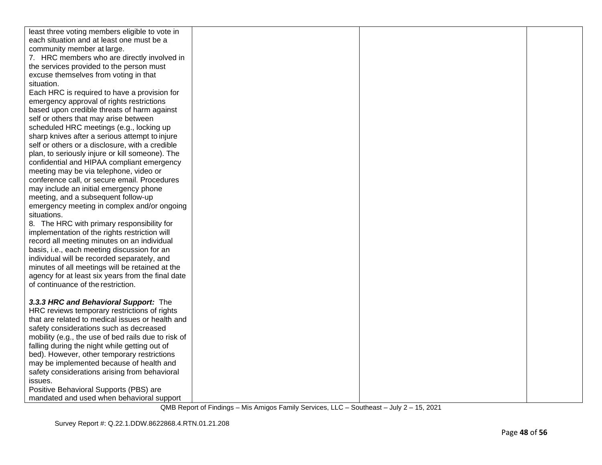| least three voting members eligible to vote in      |  |  |
|-----------------------------------------------------|--|--|
| each situation and at least one must be a           |  |  |
| community member at large.                          |  |  |
| 7. HRC members who are directly involved in         |  |  |
| the services provided to the person must            |  |  |
| excuse themselves from voting in that               |  |  |
| situation.                                          |  |  |
| Each HRC is required to have a provision for        |  |  |
| emergency approval of rights restrictions           |  |  |
| based upon credible threats of harm against         |  |  |
| self or others that may arise between               |  |  |
| scheduled HRC meetings (e.g., locking up            |  |  |
| sharp knives after a serious attempt to injure      |  |  |
| self or others or a disclosure, with a credible     |  |  |
| plan, to seriously injure or kill someone). The     |  |  |
| confidential and HIPAA compliant emergency          |  |  |
| meeting may be via telephone, video or              |  |  |
| conference call, or secure email. Procedures        |  |  |
| may include an initial emergency phone              |  |  |
| meeting, and a subsequent follow-up                 |  |  |
| emergency meeting in complex and/or ongoing         |  |  |
| situations.                                         |  |  |
| 8. The HRC with primary responsibility for          |  |  |
| implementation of the rights restriction will       |  |  |
| record all meeting minutes on an individual         |  |  |
| basis, i.e., each meeting discussion for an         |  |  |
| individual will be recorded separately, and         |  |  |
| minutes of all meetings will be retained at the     |  |  |
| agency for at least six years from the final date   |  |  |
| of continuance of the restriction.                  |  |  |
|                                                     |  |  |
| 3.3.3 HRC and Behavioral Support: The               |  |  |
| HRC reviews temporary restrictions of rights        |  |  |
| that are related to medical issues or health and    |  |  |
| safety considerations such as decreased             |  |  |
| mobility (e.g., the use of bed rails due to risk of |  |  |
| falling during the night while getting out of       |  |  |
| bed). However, other temporary restrictions         |  |  |
| may be implemented because of health and            |  |  |
| safety considerations arising from behavioral       |  |  |
| issues.                                             |  |  |
| Positive Behavioral Supports (PBS) are              |  |  |
| mandated and used when behavioral support           |  |  |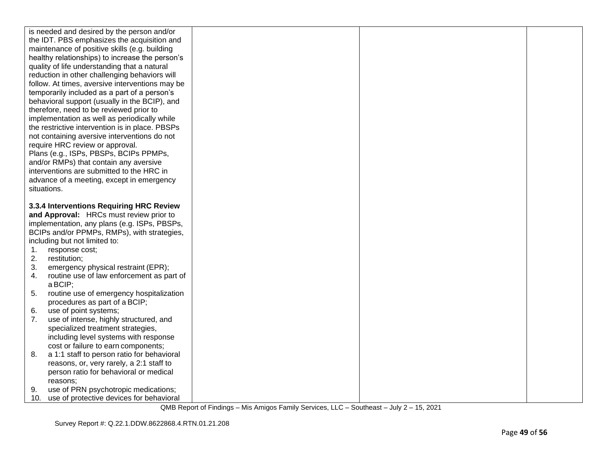|             | is needed and desired by the person and/or                                       |  |  |
|-------------|----------------------------------------------------------------------------------|--|--|
|             | the IDT. PBS emphasizes the acquisition and                                      |  |  |
|             | maintenance of positive skills (e.g. building                                    |  |  |
|             | healthy relationships) to increase the person's                                  |  |  |
|             | quality of life understanding that a natural                                     |  |  |
|             | reduction in other challenging behaviors will                                    |  |  |
|             | follow. At times, aversive interventions may be                                  |  |  |
|             | temporarily included as a part of a person's                                     |  |  |
|             | behavioral support (usually in the BCIP), and                                    |  |  |
|             | therefore, need to be reviewed prior to                                          |  |  |
|             | implementation as well as periodically while                                     |  |  |
|             | the restrictive intervention is in place. PBSPs                                  |  |  |
|             |                                                                                  |  |  |
|             | not containing aversive interventions do not                                     |  |  |
|             | require HRC review or approval.                                                  |  |  |
|             | Plans (e.g., ISPs, PBSPs, BCIPs PPMPs,                                           |  |  |
|             | and/or RMPs) that contain any aversive                                           |  |  |
|             | interventions are submitted to the HRC in                                        |  |  |
|             | advance of a meeting, except in emergency                                        |  |  |
| situations. |                                                                                  |  |  |
|             |                                                                                  |  |  |
|             | 3.3.4 Interventions Requiring HRC Review                                         |  |  |
|             | and Approval: HRCs must review prior to                                          |  |  |
|             | implementation, any plans (e.g. ISPs, PBSPs,                                     |  |  |
|             | BCIPs and/or PPMPs, RMPs), with strategies,                                      |  |  |
|             |                                                                                  |  |  |
|             | including but not limited to:                                                    |  |  |
| 1.          | response cost;                                                                   |  |  |
| 2.          | restitution;                                                                     |  |  |
| 3.          | emergency physical restraint (EPR);                                              |  |  |
| 4.          | routine use of law enforcement as part of                                        |  |  |
|             | a BCIP;                                                                          |  |  |
| 5.          | routine use of emergency hospitalization                                         |  |  |
|             | procedures as part of a BCIP;                                                    |  |  |
| 6.          | use of point systems;                                                            |  |  |
| 7.          | use of intense, highly structured, and                                           |  |  |
|             | specialized treatment strategies,                                                |  |  |
|             | including level systems with response                                            |  |  |
|             | cost or failure to earn components;                                              |  |  |
| 8.          | a 1:1 staff to person ratio for behavioral                                       |  |  |
|             | reasons, or, very rarely, a 2:1 staff to                                         |  |  |
|             | person ratio for behavioral or medical                                           |  |  |
|             | reasons:                                                                         |  |  |
| 9.          | use of PRN psychotropic medications;<br>use of protective devices for behavioral |  |  |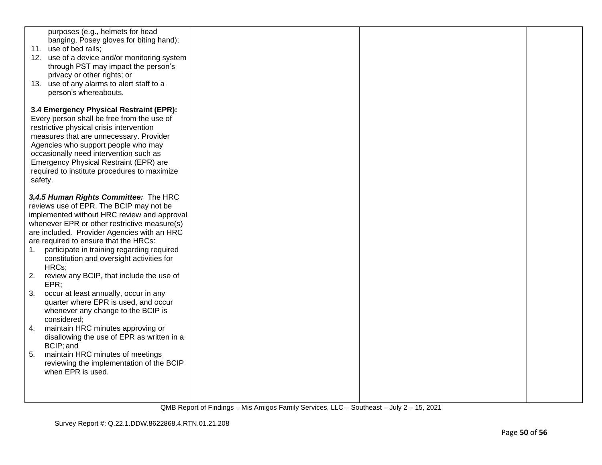| purposes (e.g., helmets for head<br>banging, Posey gloves for biting hand);<br>11. use of bed rails;<br>12. use of a device and/or monitoring system<br>through PST may impact the person's<br>privacy or other rights; or<br>13. use of any alarms to alert staff to a<br>person's whereabouts.                                                                                  |  |  |
|-----------------------------------------------------------------------------------------------------------------------------------------------------------------------------------------------------------------------------------------------------------------------------------------------------------------------------------------------------------------------------------|--|--|
| 3.4 Emergency Physical Restraint (EPR):<br>Every person shall be free from the use of<br>restrictive physical crisis intervention<br>measures that are unnecessary. Provider<br>Agencies who support people who may<br>occasionally need intervention such as<br>Emergency Physical Restraint (EPR) are<br>required to institute procedures to maximize<br>safety.                |  |  |
| 3.4.5 Human Rights Committee: The HRC<br>reviews use of EPR. The BCIP may not be<br>implemented without HRC review and approval<br>whenever EPR or other restrictive measure(s)<br>are included. Provider Agencies with an HRC<br>are required to ensure that the HRCs:<br>participate in training regarding required<br>1.<br>constitution and oversight activities for<br>HRCs; |  |  |
| 2.<br>review any BCIP, that include the use of<br>EPR<br>3.<br>occur at least annually, occur in any                                                                                                                                                                                                                                                                              |  |  |
| quarter where EPR is used, and occur<br>whenever any change to the BCIP is<br>considered;                                                                                                                                                                                                                                                                                         |  |  |
| maintain HRC minutes approving or<br>4.<br>disallowing the use of EPR as written in a<br>BCIP; and                                                                                                                                                                                                                                                                                |  |  |
| 5.<br>maintain HRC minutes of meetings<br>reviewing the implementation of the BCIP<br>when EPR is used.                                                                                                                                                                                                                                                                           |  |  |
|                                                                                                                                                                                                                                                                                                                                                                                   |  |  |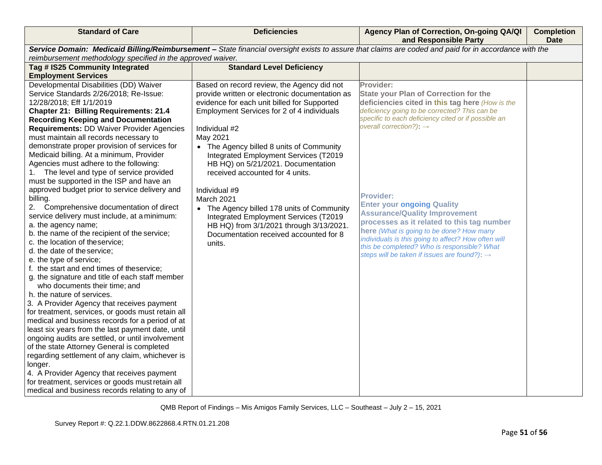| <b>Standard of Care</b>                                                                     | <b>Deficiencies</b>                            | Agency Plan of Correction, On-going QA/QI<br>and Responsible Party                                                                                    | <b>Completion</b><br><b>Date</b> |
|---------------------------------------------------------------------------------------------|------------------------------------------------|-------------------------------------------------------------------------------------------------------------------------------------------------------|----------------------------------|
|                                                                                             |                                                | Service Domain: Medicaid Billing/Reimbursement - State financial oversight exists to assure that claims are coded and paid for in accordance with the |                                  |
| reimbursement methodology specified in the approved waiver.                                 |                                                |                                                                                                                                                       |                                  |
| Tag # IS25 Community Integrated                                                             | <b>Standard Level Deficiency</b>               |                                                                                                                                                       |                                  |
| <b>Employment Services</b>                                                                  |                                                |                                                                                                                                                       |                                  |
| Developmental Disabilities (DD) Waiver                                                      | Based on record review, the Agency did not     | Provider:                                                                                                                                             |                                  |
| Service Standards 2/26/2018; Re-Issue:                                                      | provide written or electronic documentation as | <b>State your Plan of Correction for the</b>                                                                                                          |                                  |
| 12/28/2018; Eff 1/1/2019                                                                    | evidence for each unit billed for Supported    | deficiencies cited in this tag here (How is the<br>deficiency going to be corrected? This can be                                                      |                                  |
| <b>Chapter 21: Billing Requirements: 21.4</b><br><b>Recording Keeping and Documentation</b> | Employment Services for 2 of 4 individuals     | specific to each deficiency cited or if possible an                                                                                                   |                                  |
| Requirements: DD Waiver Provider Agencies                                                   | Individual #2                                  | overall correction?): $\rightarrow$                                                                                                                   |                                  |
| must maintain all records necessary to                                                      | May 2021                                       |                                                                                                                                                       |                                  |
| demonstrate proper provision of services for                                                | • The Agency billed 8 units of Community       |                                                                                                                                                       |                                  |
| Medicaid billing. At a minimum, Provider                                                    | Integrated Employment Services (T2019          |                                                                                                                                                       |                                  |
| Agencies must adhere to the following:                                                      | HB HQ) on 5/21/2021. Documentation             |                                                                                                                                                       |                                  |
| 1. The level and type of service provided                                                   | received accounted for 4 units.                |                                                                                                                                                       |                                  |
| must be supported in the ISP and have an                                                    |                                                |                                                                                                                                                       |                                  |
| approved budget prior to service delivery and                                               | Individual #9                                  |                                                                                                                                                       |                                  |
| billing.                                                                                    | March 2021                                     | <b>Provider:</b>                                                                                                                                      |                                  |
| Comprehensive documentation of direct<br>2.                                                 | • The Agency billed 178 units of Community     | <b>Enter your ongoing Quality</b>                                                                                                                     |                                  |
| service delivery must include, at a minimum:                                                | Integrated Employment Services (T2019          | <b>Assurance/Quality Improvement</b>                                                                                                                  |                                  |
| a. the agency name;                                                                         | HB HQ) from 3/1/2021 through 3/13/2021.        | processes as it related to this tag number                                                                                                            |                                  |
| b. the name of the recipient of the service;                                                | Documentation received accounted for 8         | here (What is going to be done? How many<br>individuals is this going to affect? How often will                                                       |                                  |
| c. the location of the service;                                                             | units.                                         | this be completed? Who is responsible? What                                                                                                           |                                  |
| d. the date of the service;                                                                 |                                                | steps will be taken if issues are found?): $\rightarrow$                                                                                              |                                  |
| e. the type of service;                                                                     |                                                |                                                                                                                                                       |                                  |
| f. the start and end times of theservice;                                                   |                                                |                                                                                                                                                       |                                  |
| g. the signature and title of each staff member<br>who documents their time; and            |                                                |                                                                                                                                                       |                                  |
| h. the nature of services.                                                                  |                                                |                                                                                                                                                       |                                  |
| 3. A Provider Agency that receives payment                                                  |                                                |                                                                                                                                                       |                                  |
| for treatment, services, or goods must retain all                                           |                                                |                                                                                                                                                       |                                  |
| medical and business records for a period of at                                             |                                                |                                                                                                                                                       |                                  |
| least six years from the last payment date, until                                           |                                                |                                                                                                                                                       |                                  |
| ongoing audits are settled, or until involvement                                            |                                                |                                                                                                                                                       |                                  |
| of the state Attorney General is completed                                                  |                                                |                                                                                                                                                       |                                  |
| regarding settlement of any claim, whichever is                                             |                                                |                                                                                                                                                       |                                  |
| longer.                                                                                     |                                                |                                                                                                                                                       |                                  |
| 4. A Provider Agency that receives payment                                                  |                                                |                                                                                                                                                       |                                  |
| for treatment, services or goods must retain all                                            |                                                |                                                                                                                                                       |                                  |
| medical and business records relating to any of                                             |                                                |                                                                                                                                                       |                                  |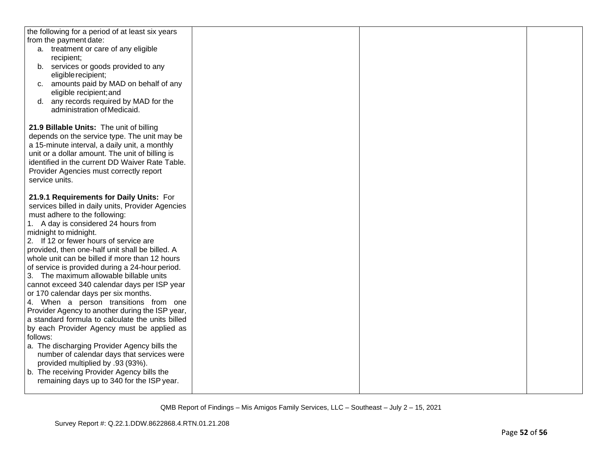| the following for a period of at least six years  |  |  |
|---------------------------------------------------|--|--|
| from the payment date:                            |  |  |
| a. treatment or care of any eligible              |  |  |
| recipient;                                        |  |  |
| services or goods provided to any<br>b.           |  |  |
| eligible recipient;                               |  |  |
| amounts paid by MAD on behalf of any<br>C.        |  |  |
| eligible recipient; and                           |  |  |
| any records required by MAD for the<br>d.         |  |  |
| administration of Medicaid.                       |  |  |
|                                                   |  |  |
| 21.9 Billable Units: The unit of billing          |  |  |
|                                                   |  |  |
| depends on the service type. The unit may be      |  |  |
| a 15-minute interval, a daily unit, a monthly     |  |  |
| unit or a dollar amount. The unit of billing is   |  |  |
| identified in the current DD Waiver Rate Table.   |  |  |
| Provider Agencies must correctly report           |  |  |
| service units.                                    |  |  |
|                                                   |  |  |
| 21.9.1 Requirements for Daily Units: For          |  |  |
| services billed in daily units, Provider Agencies |  |  |
| must adhere to the following:                     |  |  |
| 1. A day is considered 24 hours from              |  |  |
| midnight to midnight.                             |  |  |
| 2. If 12 or fewer hours of service are            |  |  |
| provided, then one-half unit shall be billed. A   |  |  |
| whole unit can be billed if more than 12 hours    |  |  |
| of service is provided during a 24-hour period.   |  |  |
| 3. The maximum allowable billable units           |  |  |
| cannot exceed 340 calendar days per ISP year      |  |  |
| or 170 calendar days per six months.              |  |  |
| 4. When a person transitions from one             |  |  |
| Provider Agency to another during the ISP year,   |  |  |
| a standard formula to calculate the units billed  |  |  |
| by each Provider Agency must be applied as        |  |  |
| follows:                                          |  |  |
| a. The discharging Provider Agency bills the      |  |  |
| number of calendar days that services were        |  |  |
| provided multiplied by .93 (93%).                 |  |  |
| b. The receiving Provider Agency bills the        |  |  |
| remaining days up to 340 for the ISP year.        |  |  |
|                                                   |  |  |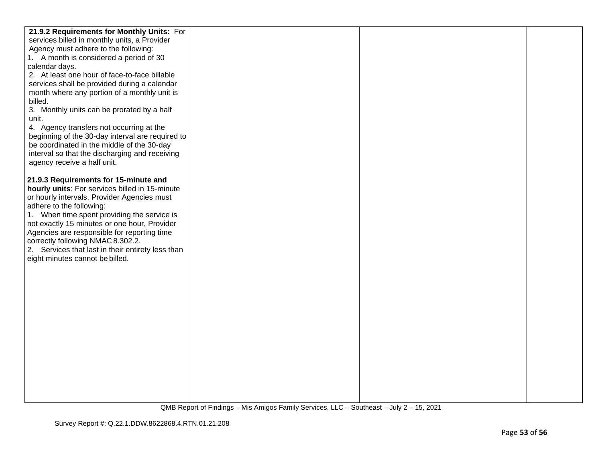| 21.9.2 Requirements for Monthly Units: For        |  |  |
|---------------------------------------------------|--|--|
| services billed in monthly units, a Provider      |  |  |
| Agency must adhere to the following:              |  |  |
| 1. A month is considered a period of 30           |  |  |
| calendar days.                                    |  |  |
| 2. At least one hour of face-to-face billable     |  |  |
| services shall be provided during a calendar      |  |  |
| month where any portion of a monthly unit is      |  |  |
| billed.                                           |  |  |
| 3. Monthly units can be prorated by a half        |  |  |
| unit.                                             |  |  |
| 4. Agency transfers not occurring at the          |  |  |
| beginning of the 30-day interval are required to  |  |  |
| be coordinated in the middle of the 30-day        |  |  |
| interval so that the discharging and receiving    |  |  |
| agency receive a half unit.                       |  |  |
|                                                   |  |  |
| 21.9.3 Requirements for 15-minute and             |  |  |
| hourly units: For services billed in 15-minute    |  |  |
| or hourly intervals, Provider Agencies must       |  |  |
| adhere to the following:                          |  |  |
| 1. When time spent providing the service is       |  |  |
| not exactly 15 minutes or one hour, Provider      |  |  |
| Agencies are responsible for reporting time       |  |  |
| correctly following NMAC 8.302.2.                 |  |  |
| 2. Services that last in their entirety less than |  |  |
| eight minutes cannot be billed.                   |  |  |
|                                                   |  |  |
|                                                   |  |  |
|                                                   |  |  |
|                                                   |  |  |
|                                                   |  |  |
|                                                   |  |  |
|                                                   |  |  |
|                                                   |  |  |
|                                                   |  |  |
|                                                   |  |  |
|                                                   |  |  |
|                                                   |  |  |
|                                                   |  |  |
|                                                   |  |  |
|                                                   |  |  |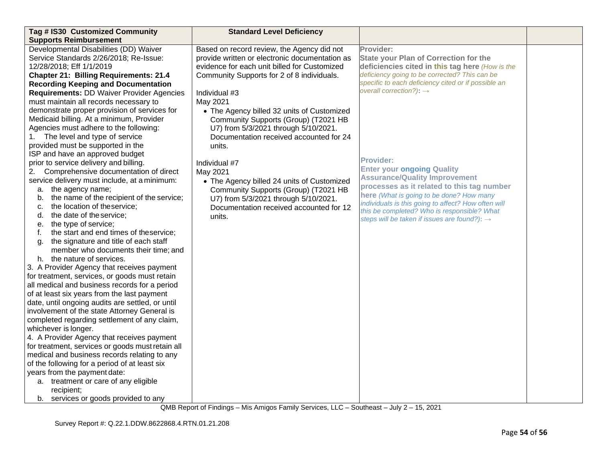| Tag # IS30 Customized Community                                      | <b>Standard Level Deficiency</b>               |                                                                           |  |
|----------------------------------------------------------------------|------------------------------------------------|---------------------------------------------------------------------------|--|
| <b>Supports Reimbursement</b>                                        |                                                |                                                                           |  |
| Developmental Disabilities (DD) Waiver                               | Based on record review, the Agency did not     | Provider:                                                                 |  |
| Service Standards 2/26/2018; Re-Issue:                               | provide written or electronic documentation as | <b>State your Plan of Correction for the</b>                              |  |
| 12/28/2018; Eff 1/1/2019                                             | evidence for each unit billed for Customized   | deficiencies cited in this tag here (How is the                           |  |
| <b>Chapter 21: Billing Requirements: 21.4</b>                        | Community Supports for 2 of 8 individuals.     | deficiency going to be corrected? This can be                             |  |
| <b>Recording Keeping and Documentation</b>                           |                                                | specific to each deficiency cited or if possible an                       |  |
| <b>Requirements: DD Waiver Provider Agencies</b>                     | Individual #3                                  | overall correction?): $\rightarrow$                                       |  |
| must maintain all records necessary to                               | May 2021                                       |                                                                           |  |
| demonstrate proper provision of services for                         | • The Agency billed 32 units of Customized     |                                                                           |  |
| Medicaid billing. At a minimum, Provider                             | Community Supports (Group) (T2021 HB           |                                                                           |  |
| Agencies must adhere to the following:                               | U7) from 5/3/2021 through 5/10/2021.           |                                                                           |  |
| 1. The level and type of service                                     | Documentation received accounted for 24        |                                                                           |  |
| provided must be supported in the                                    | units.                                         |                                                                           |  |
| ISP and have an approved budget                                      |                                                |                                                                           |  |
| prior to service delivery and billing.                               | Individual #7                                  | <b>Provider:</b>                                                          |  |
| Comprehensive documentation of direct<br>2.                          | May 2021                                       | <b>Enter your ongoing Quality</b><br><b>Assurance/Quality Improvement</b> |  |
| service delivery must include, at a minimum:                         | • The Agency billed 24 units of Customized     | processes as it related to this tag number                                |  |
| a. the agency name;                                                  | Community Supports (Group) (T2021 HB           | here (What is going to be done? How many                                  |  |
| the name of the recipient of the service;<br>b.                      | U7) from 5/3/2021 through 5/10/2021.           | individuals is this going to affect? How often will                       |  |
| the location of theservice;<br>c.                                    | Documentation received accounted for 12        | this be completed? Who is responsible? What                               |  |
| the date of the service;<br>d.                                       | units.                                         | steps will be taken if issues are found?): $\rightarrow$                  |  |
| the type of service;<br>е.                                           |                                                |                                                                           |  |
| the start and end times of theservice;<br>f.                         |                                                |                                                                           |  |
| the signature and title of each staff<br>g.                          |                                                |                                                                           |  |
| member who documents their time; and                                 |                                                |                                                                           |  |
| h. the nature of services.                                           |                                                |                                                                           |  |
| 3. A Provider Agency that receives payment                           |                                                |                                                                           |  |
| for treatment, services, or goods must retain                        |                                                |                                                                           |  |
| all medical and business records for a period                        |                                                |                                                                           |  |
| of at least six years from the last payment                          |                                                |                                                                           |  |
| date, until ongoing audits are settled, or until                     |                                                |                                                                           |  |
| involvement of the state Attorney General is                         |                                                |                                                                           |  |
| completed regarding settlement of any claim,<br>whichever is longer. |                                                |                                                                           |  |
| 4. A Provider Agency that receives payment                           |                                                |                                                                           |  |
| for treatment, services or goods must retain all                     |                                                |                                                                           |  |
| medical and business records relating to any                         |                                                |                                                                           |  |
| of the following for a period of at least six                        |                                                |                                                                           |  |
| years from the payment date:                                         |                                                |                                                                           |  |
| a. treatment or care of any eligible                                 |                                                |                                                                           |  |
| recipient;                                                           |                                                |                                                                           |  |
| b. services or goods provided to any                                 |                                                |                                                                           |  |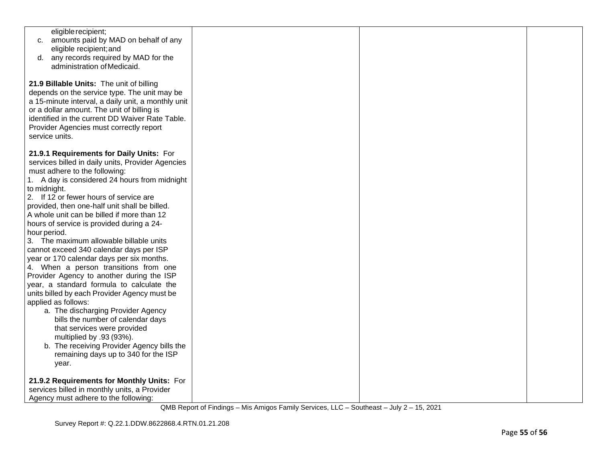| eligible recipient;<br>c. amounts paid by MAD on behalf of any<br>eligible recipient; and<br>any records required by MAD for the<br>d.<br>administration of Medicaid.                                                                                                                                                                                                                                                                                                                                                                                                                                                                                                                                                                                                                                                                                                                                                                                                                   |  |  |
|-----------------------------------------------------------------------------------------------------------------------------------------------------------------------------------------------------------------------------------------------------------------------------------------------------------------------------------------------------------------------------------------------------------------------------------------------------------------------------------------------------------------------------------------------------------------------------------------------------------------------------------------------------------------------------------------------------------------------------------------------------------------------------------------------------------------------------------------------------------------------------------------------------------------------------------------------------------------------------------------|--|--|
| 21.9 Billable Units: The unit of billing<br>depends on the service type. The unit may be<br>a 15-minute interval, a daily unit, a monthly unit<br>or a dollar amount. The unit of billing is<br>identified in the current DD Waiver Rate Table.<br>Provider Agencies must correctly report<br>service units.                                                                                                                                                                                                                                                                                                                                                                                                                                                                                                                                                                                                                                                                            |  |  |
| 21.9.1 Requirements for Daily Units: For<br>services billed in daily units, Provider Agencies<br>must adhere to the following:<br>1. A day is considered 24 hours from midnight<br>to midnight.<br>2. If 12 or fewer hours of service are<br>provided, then one-half unit shall be billed.<br>A whole unit can be billed if more than 12<br>hours of service is provided during a 24-<br>hour period.<br>3. The maximum allowable billable units<br>cannot exceed 340 calendar days per ISP<br>year or 170 calendar days per six months.<br>4. When a person transitions from one<br>Provider Agency to another during the ISP<br>year, a standard formula to calculate the<br>units billed by each Provider Agency must be<br>applied as follows:<br>a. The discharging Provider Agency<br>bills the number of calendar days<br>that services were provided<br>multiplied by .93 (93%).<br>b. The receiving Provider Agency bills the<br>remaining days up to 340 for the ISP<br>year. |  |  |
| 21.9.2 Requirements for Monthly Units: For<br>services billed in monthly units, a Provider<br>Agency must adhere to the following:                                                                                                                                                                                                                                                                                                                                                                                                                                                                                                                                                                                                                                                                                                                                                                                                                                                      |  |  |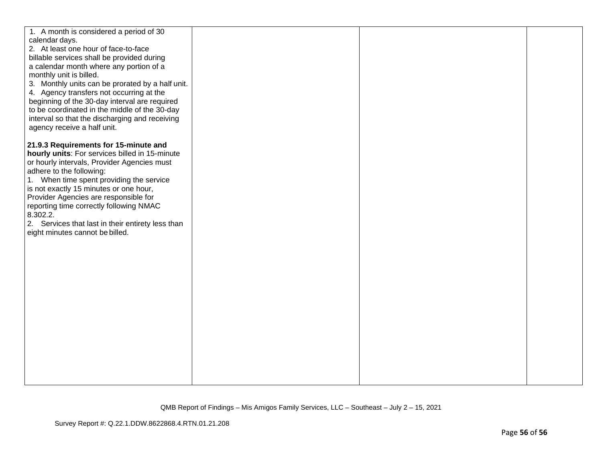| 1. A month is considered a period of 30<br>calendar days.<br>2. At least one hour of face-to-face<br>billable services shall be provided during<br>a calendar month where any portion of a<br>monthly unit is billed.<br>3. Monthly units can be prorated by a half unit.<br>4. Agency transfers not occurring at the<br>beginning of the 30-day interval are required<br>to be coordinated in the middle of the 30-day<br>interval so that the discharging and receiving<br>agency receive a half unit. |  |  |
|----------------------------------------------------------------------------------------------------------------------------------------------------------------------------------------------------------------------------------------------------------------------------------------------------------------------------------------------------------------------------------------------------------------------------------------------------------------------------------------------------------|--|--|
| 21.9.3 Requirements for 15-minute and<br>hourly units: For services billed in 15-minute<br>or hourly intervals, Provider Agencies must<br>adhere to the following:<br>1. When time spent providing the service<br>is not exactly 15 minutes or one hour,<br>Provider Agencies are responsible for<br>reporting time correctly following NMAC<br>8.302.2.<br>2. Services that last in their entirety less than<br>eight minutes cannot be billed.                                                         |  |  |